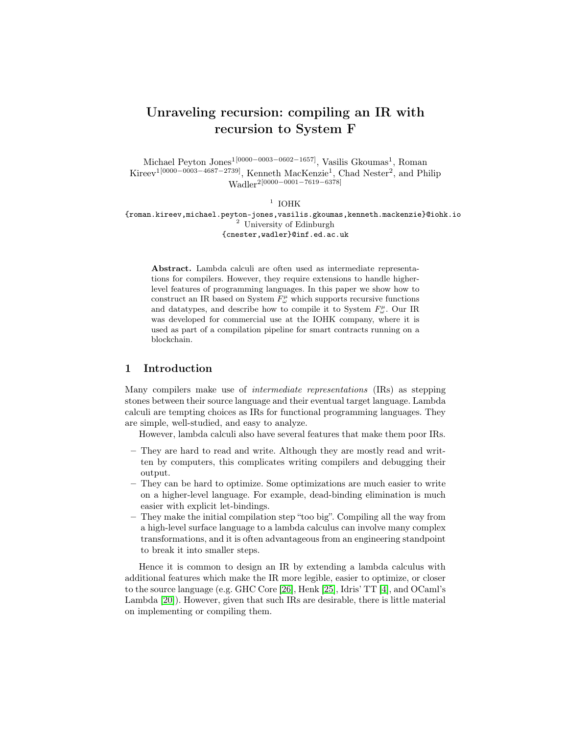# Unraveling recursion: compiling an IR with recursion to System F

Michael Peyton Jones<sup>1[0000–0003–0602–1657]</sup>, Vasilis Gkoumas<sup>1</sup>, Roman Kireev<sup>1[0000–0003–4687–2739]</sup>, Kenneth MacKenzie<sup>1</sup>, Chad Nester<sup>2</sup>, and Philip Wadler2[0000−0001−7619−6378]

 $1$  IOHK {roman.kireev,michael.peyton-jones,vasilis.gkoumas,kenneth.mackenzie}@iohk.io <sup>2</sup> University of Edinburgh {cnester,wadler}@inf.ed.ac.uk

Abstract. Lambda calculi are often used as intermediate representations for compilers. However, they require extensions to handle higherlevel features of programming languages. In this paper we show how to construct an IR based on System  $F^{\mu}_{\omega}$  which supports recursive functions and datatypes, and describe how to compile it to System  $F^{\mu}_{\omega}$ . Our IR was developed for commercial use at the IOHK company, where it is used as part of a compilation pipeline for smart contracts running on a blockchain.

### 1 Introduction

Many compilers make use of intermediate representations (IRs) as stepping stones between their source language and their eventual target language. Lambda calculi are tempting choices as IRs for functional programming languages. They are simple, well-studied, and easy to analyze.

However, lambda calculi also have several features that make them poor IRs.

- They are hard to read and write. Although they are mostly read and written by computers, this complicates writing compilers and debugging their output.
- They can be hard to optimize. Some optimizations are much easier to write on a higher-level language. For example, dead-binding elimination is much easier with explicit let-bindings.
- They make the initial compilation step "too big". Compiling all the way from a high-level surface language to a lambda calculus can involve many complex transformations, and it is often advantageous from an engineering standpoint to break it into smaller steps.

Hence it is common to design an IR by extending a lambda calculus with additional features which make the IR more legible, easier to optimize, or closer to the source language (e.g. GHC Core [\[26\]](#page-29-0), Henk [\[25\]](#page-29-1), Idris' TT [\[4\]](#page-28-0), and OCaml's Lambda [\[20\]](#page-29-2)). However, given that such IRs are desirable, there is little material on implementing or compiling them.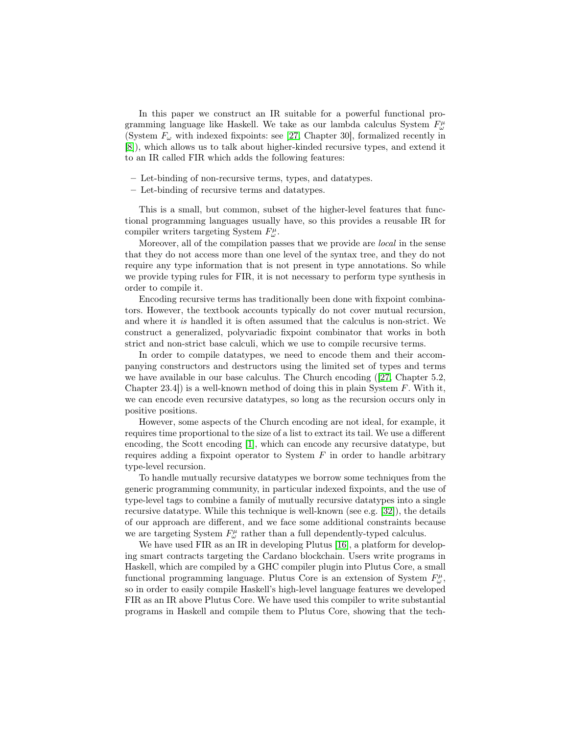In this paper we construct an IR suitable for a powerful functional programming language like Haskell. We take as our lambda calculus System  $F^{\mu}_{\omega}$ (System  $F_{\omega}$  with indexed fixpoints: see [\[27,](#page-29-3) Chapter 30], formalized recently in [\[8\]](#page-28-1)), which allows us to talk about higher-kinded recursive types, and extend it to an IR called FIR which adds the following features:

- Let-binding of non-recursive terms, types, and datatypes.
- Let-binding of recursive terms and datatypes.

This is a small, but common, subset of the higher-level features that functional programming languages usually have, so this provides a reusable IR for compiler writers targeting System  $F^{\mu}_{\omega}$ .

Moreover, all of the compilation passes that we provide are local in the sense that they do not access more than one level of the syntax tree, and they do not require any type information that is not present in type annotations. So while we provide typing rules for FIR, it is not necessary to perform type synthesis in order to compile it.

Encoding recursive terms has traditionally been done with fixpoint combinators. However, the textbook accounts typically do not cover mutual recursion, and where it is handled it is often assumed that the calculus is non-strict. We construct a generalized, polyvariadic fixpoint combinator that works in both strict and non-strict base calculi, which we use to compile recursive terms.

In order to compile datatypes, we need to encode them and their accompanying constructors and destructors using the limited set of types and terms we have available in our base calculus. The Church encoding ([\[27,](#page-29-3) Chapter 5.2, Chapter 23.4) is a well-known method of doing this in plain System  $F$ . With it, we can encode even recursive datatypes, so long as the recursion occurs only in positive positions.

However, some aspects of the Church encoding are not ideal, for example, it requires time proportional to the size of a list to extract its tail. We use a different encoding, the Scott encoding [\[1\]](#page-28-2), which can encode any recursive datatype, but requires adding a fixpoint operator to System  $F$  in order to handle arbitrary type-level recursion.

To handle mutually recursive datatypes we borrow some techniques from the generic programming community, in particular indexed fixpoints, and the use of type-level tags to combine a family of mutually recursive datatypes into a single recursive datatype. While this technique is well-known (see e.g. [\[32\]](#page-30-0)), the details of our approach are different, and we face some additional constraints because we are targeting System  $F^\mu_\omega$  rather than a full dependently-typed calculus.

We have used FIR as an IR in developing Plutus [\[16\]](#page-29-4), a platform for developing smart contracts targeting the Cardano blockchain. Users write programs in Haskell, which are compiled by a GHC compiler plugin into Plutus Core, a small functional programming language. Plutus Core is an extension of System  $F^{\mu}_{\omega}$ , so in order to easily compile Haskell's high-level language features we developed FIR as an IR above Plutus Core. We have used this compiler to write substantial programs in Haskell and compile them to Plutus Core, showing that the tech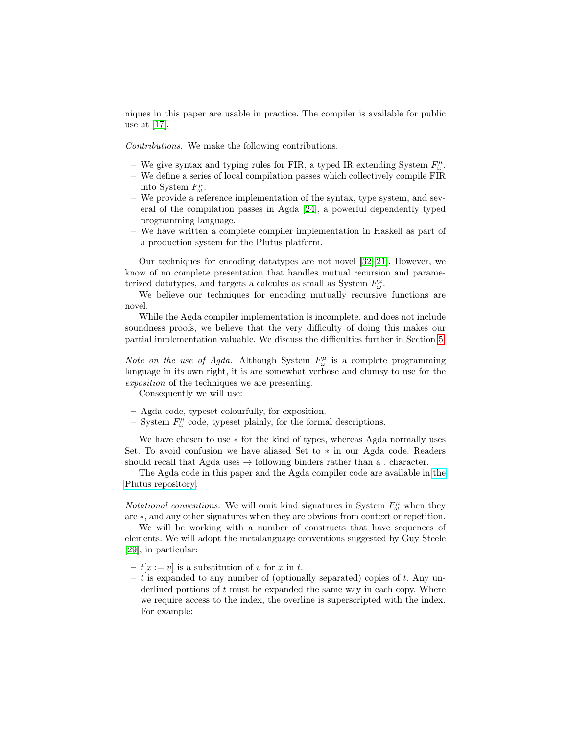niques in this paper are usable in practice. The compiler is available for public use at [\[17\]](#page-29-5).

Contributions. We make the following contributions.

- We give syntax and typing rules for FIR, a typed IR extending System  $F^{\mu}_{\omega}$ .
- We define a series of local compilation passes which collectively compile FIR into System  $F^{\mu}_{\omega}$ .
- We provide a reference implementation of the syntax, type system, and several of the compilation passes in Agda [\[24\]](#page-29-6), a powerful dependently typed programming language.
- We have written a complete compiler implementation in Haskell as part of a production system for the Plutus platform.

Our techniques for encoding datatypes are not novel [\[32\]](#page-30-0)[\[21\]](#page-29-7). However, we know of no complete presentation that handles mutual recursion and parameterized datatypes, and targets a calculus as small as System  $F^\mu_\omega.$ 

We believe our techniques for encoding mutually recursive functions are novel.

While the Agda compiler implementation is incomplete, and does not include soundness proofs, we believe that the very difficulty of doing this makes our partial implementation valuable. We discuss the difficulties further in Section [5.](#page-24-0)

Note on the use of Agda. Although System  $F^{\mu}_{\omega}$  is a complete programming language in its own right, it is are somewhat verbose and clumsy to use for the exposition of the techniques we are presenting.

Consequently we will use:

- Agda code, typeset colourfully, for exposition.
- System  $F^{\mu}_{\omega}$  code, typeset plainly, for the formal descriptions.

We have chosen to use ∗ for the kind of types, whereas Agda normally uses Set. To avoid confusion we have aliased Set to ∗ in our Agda code. Readers should recall that Agda uses  $\rightarrow$  following binders rather than a . character.

The Agda code in this paper and the Agda compiler code are available in [the](https://github.com/input-output-hk/plutus/tree/3008f78ed7f75cdd98da7fb06f06345fc52c2e31/papers/unraveling-recursion) [Plutus repository.](https://github.com/input-output-hk/plutus/tree/3008f78ed7f75cdd98da7fb06f06345fc52c2e31/papers/unraveling-recursion)

*Notational conventions.* We will omit kind signatures in System  $F^{\mu}_{\omega}$  when they are ∗, and any other signatures when they are obvious from context or repetition.

We will be working with a number of constructs that have sequences of elements. We will adopt the metalanguage conventions suggested by Guy Steele [\[29\]](#page-29-8), in particular:

- $-t[x := v]$  is a substitution of v for x in t.
- $-\bar{t}$  is expanded to any number of (optionally separated) copies of t. Any underlined portions of  $t$  must be expanded the same way in each copy. Where we require access to the index, the overline is superscripted with the index. For example: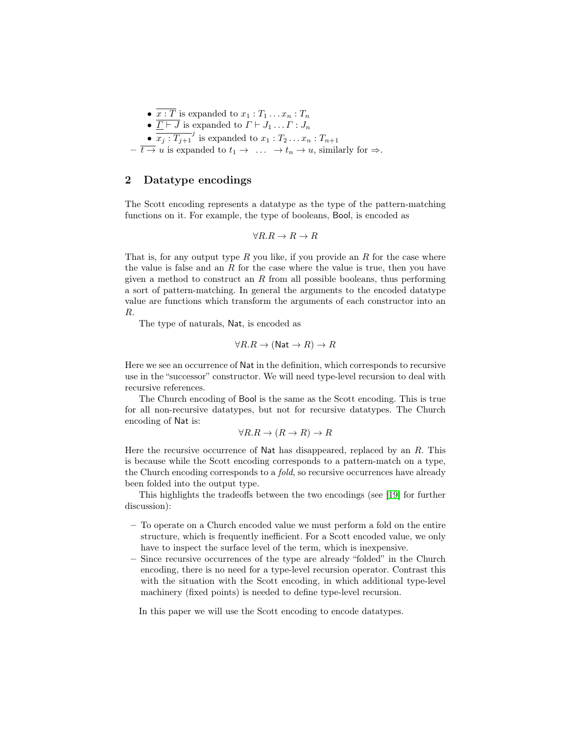- $\overline{x} : \overline{T}$  is expanded to  $x_1 : T_1 \ldots x_n : T_n$
- $\overline{\underline{\Gamma} \vdash J}$  is expanded to  $\Gamma \vdash J_1 \ldots \Gamma : J_n$
- $\overline{x_j : T_{j+1}}^j$  is expanded to  $x_1 : T_2 \dots x_n : T_{n+1}$
- $-\overline{t\rightarrow} u$  is expanded to  $t_1 \rightarrow \ldots \rightarrow t_n \rightarrow u$ , similarly for  $\Rightarrow$ .

### <span id="page-3-0"></span>2 Datatype encodings

The Scott encoding represents a datatype as the type of the pattern-matching functions on it. For example, the type of booleans, Bool, is encoded as

$$
\forall R.R \to R \to R
$$

That is, for any output type R you like, if you provide an R for the case where the value is false and an  $R$  for the case where the value is true, then you have given a method to construct an R from all possible booleans, thus performing a sort of pattern-matching. In general the arguments to the encoded datatype value are functions which transform the arguments of each constructor into an R.

The type of naturals, Nat, is encoded as

$$
\forall R.R \to (\mathsf{Nat} \to R) \to R
$$

Here we see an occurrence of Nat in the definition, which corresponds to recursive use in the "successor" constructor. We will need type-level recursion to deal with recursive references.

The Church encoding of Bool is the same as the Scott encoding. This is true for all non-recursive datatypes, but not for recursive datatypes. The Church encoding of Nat is:

$$
\forall R.R \to (R \to R) \to R
$$

Here the recursive occurrence of Nat has disappeared, replaced by an  $R$ . This is because while the Scott encoding corresponds to a pattern-match on a type, the Church encoding corresponds to a fold, so recursive occurrences have already been folded into the output type.

This highlights the tradeoffs between the two encodings (see [\[19\]](#page-29-9) for further discussion):

- To operate on a Church encoded value we must perform a fold on the entire structure, which is frequently inefficient. For a Scott encoded value, we only have to inspect the surface level of the term, which is inexpensive.
- Since recursive occurrences of the type are already "folded" in the Church encoding, there is no need for a type-level recursion operator. Contrast this with the situation with the Scott encoding, in which additional type-level machinery (fixed points) is needed to define type-level recursion.

In this paper we will use the Scott encoding to encode datatypes.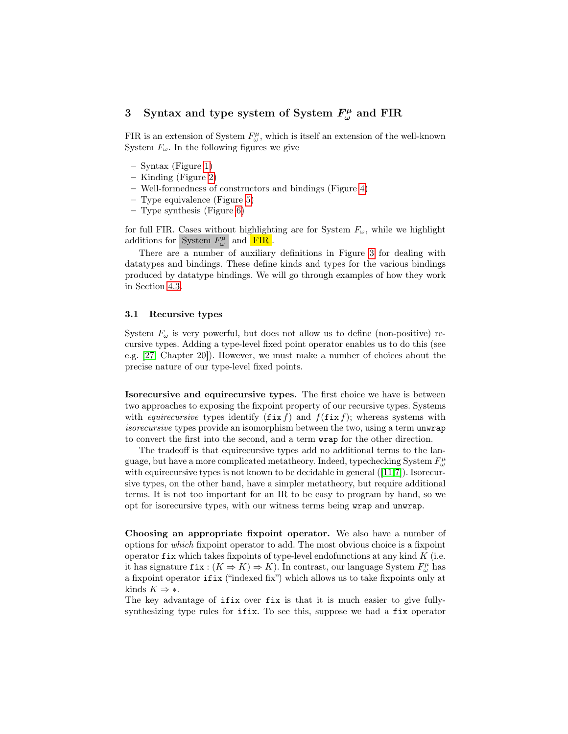#### 3 Syntax and type system of System  $F^{\mu}_{\omega}$  $_{\omega }^{\prime \mu }$  and FIR

FIR is an extension of System  $F^{\mu}_{\omega}$ , which is itself an extension of the well-known System  $F_{\omega}$ . In the following figures we give

- Syntax (Figure [1\)](#page-5-0)
- Kinding (Figure [2\)](#page-6-0)
- Well-formedness of constructors and bindings (Figure [4\)](#page-7-0)
- Type equivalence (Figure [5\)](#page-7-1)
- Type synthesis (Figure [6\)](#page-8-0)

for full FIR. Cases without highlighting are for System  $F_{\omega}$ , while we highlight additions for System  $F^{\mu}_{\omega}$  and FIR.

There are a number of auxiliary definitions in Figure [3](#page-6-1) for dealing with datatypes and bindings. These define kinds and types for the various bindings produced by datatype bindings. We will go through examples of how they work in Section [4.3.](#page-16-0)

### 3.1 Recursive types

System  $F_{\omega}$  is very powerful, but does not allow us to define (non-positive) recursive types. Adding a type-level fixed point operator enables us to do this (see e.g. [\[27,](#page-29-3) Chapter 20]). However, we must make a number of choices about the precise nature of our type-level fixed points.

Isorecursive and equirecursive types. The first choice we have is between two approaches to exposing the fixpoint property of our recursive types. Systems with *equirecursive* types identify  $(fix f)$  and  $f(fix f)$ ; whereas systems with isorecursive types provide an isomorphism between the two, using a term unwrap to convert the first into the second, and a term wrap for the other direction.

The tradeoff is that equirecursive types add no additional terms to the language, but have a more complicated metatheory. Indeed, typechecking System  $F^{\mu}_{\omega}$ with equirecursive types is not known to be decidable in general ([\[11,](#page-28-3)[7\]](#page-28-4)). Isorecursive types, on the other hand, have a simpler metatheory, but require additional terms. It is not too important for an IR to be easy to program by hand, so we opt for isorecursive types, with our witness terms being wrap and unwrap.

Choosing an appropriate fixpoint operator. We also have a number of options for which fixpoint operator to add. The most obvious choice is a fixpoint operator  $f$ ix which takes fixpoints of type-level endofunctions at any kind  $K$  (i.e. it has signature  $\texttt{fix}: (K \Rightarrow K) \Rightarrow K$ ). In contrast, our language System  $F^{\mu}_{\omega}$  has a fixpoint operator ifix ("indexed fix") which allows us to take fixpoints only at kinds  $K \Rightarrow *$ .

The key advantage of ifix over fix is that it is much easier to give fullysynthesizing type rules for ifix. To see this, suppose we had a fix operator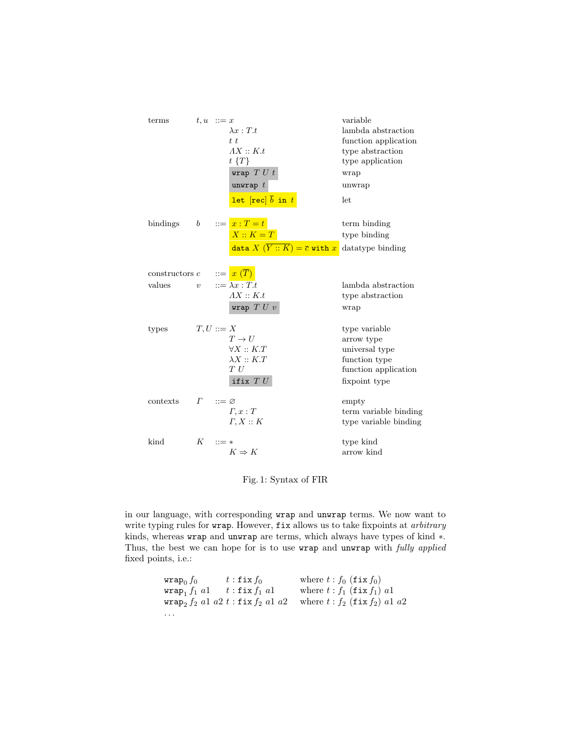<span id="page-5-0"></span>

| terms                                                  | $t, u \; ::= x$            |         | $\lambda x$ : T.t.<br>t t<br>AX :: K.t<br>$t \{T\}$<br>$\texttt{wrap} \ T \ U \ t$<br>unwrap $\,t$<br>let $\left[\text{rec}\right]\overline{b}$ in $t$ | variable<br>lambda abstraction<br>function application<br>type abstraction<br>type application<br>wrap<br>unwrap<br>let |
|--------------------------------------------------------|----------------------------|---------|--------------------------------------------------------------------------------------------------------------------------------------------------------|-------------------------------------------------------------------------------------------------------------------------|
| bindings $b$ ::= $x : T = t$                           |                            |         | $X:K=T$<br>data $X(\overline{Y::K}) = \overline{c}$ with x datatype binding                                                                            | term binding<br>type binding                                                                                            |
| constructors $c$ : $\equiv \overline{x}(\overline{T})$ |                            |         |                                                                                                                                                        |                                                                                                                         |
| values                                                 | $\upsilon$                 |         | $\mathbf{r} = \lambda x : T_t$                                                                                                                         | lambda abstraction                                                                                                      |
|                                                        |                            |         | AX :: K.t                                                                                                                                              | type abstraction                                                                                                        |
|                                                        |                            |         | wrap $T U v$                                                                                                                                           | wrap                                                                                                                    |
| types                                                  | $T, U ::= X$               |         | $T \to U$                                                                                                                                              | type variable<br>arrow type                                                                                             |
|                                                        |                            |         | $\forall X :: K.T$                                                                                                                                     | universal type                                                                                                          |
|                                                        |                            |         | $\lambda X :: K.T$                                                                                                                                     | function type                                                                                                           |
|                                                        |                            |         | T U                                                                                                                                                    | function application                                                                                                    |
|                                                        |                            |         | ifix $T U$                                                                                                                                             | fixpoint type                                                                                                           |
| contexts                                               | $\Gamma$ ::= $\varnothing$ |         |                                                                                                                                                        | empty                                                                                                                   |
|                                                        |                            |         | $\Gamma, x : T$                                                                                                                                        | term variable binding                                                                                                   |
|                                                        |                            |         | $\Gamma, X :: K$                                                                                                                                       | type variable binding                                                                                                   |
| kind                                                   | K                          | $::=$ * |                                                                                                                                                        | type kind                                                                                                               |
|                                                        |                            |         | $K \Rightarrow K$                                                                                                                                      | arrow kind                                                                                                              |

Fig. 1: Syntax of FIR

in our language, with corresponding wrap and unwrap terms. We now want to write typing rules for wrap. However, fix allows us to take fixpoints at *arbitrary* kinds, whereas wrap and unwrap are terms, which always have types of kind ∗. Thus, the best we can hope for is to use wrap and unwrap with fully applied fixed points, i.e.:

```
\texttt{wrap}_0 f_0 t : \texttt{fix} f_0 where t : f_0 \texttt{(fix} f_0)\texttt{wrap}_1 f_1 a1 \quad t : \texttt{fix} f_1 a1 \quad \text{where } t : f_1 \texttt{(fix} f_1) a1\texttt{wrap}_2\, f_2\; a1\; a2\; t:\texttt{fix}\, f_2\; a1\; a2 \quad \text{where}\; t: f_2\; (\texttt{fix}\, f_2)\; a1\; a2. . .
```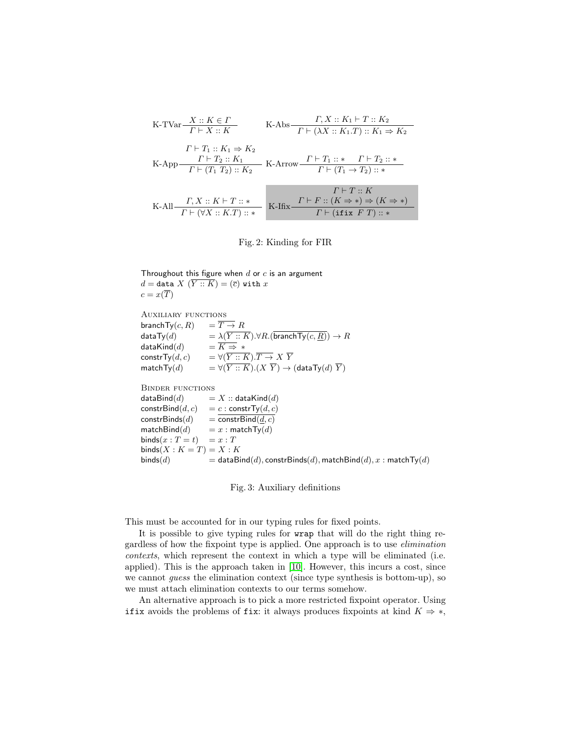<span id="page-6-0"></span>K-TVar
$$
\frac{X :: K \in \Gamma}{\Gamma \vdash X :: K}
$$
  
\nK-Abs $\frac{\Gamma, X :: K_1 \vdash T :: K_2}{\Gamma \vdash (\lambda X :: K_1.T) :: K_1 \Rightarrow K_2}$   
\nK-App $\frac{\Gamma \vdash T_2 :: K_1}{\Gamma \vdash (T_1 T_2) :: K_2}$   
\nK-Arrow $\frac{\Gamma \vdash T_1 :: * \Gamma \vdash T_2 :: *}{\Gamma \vdash (T_1 \rightarrow T_2) :: *}$   
\nK-All $\frac{\Gamma, X :: K \vdash T :: *}{\Gamma \vdash (\forall X :: K.T) :: *}$   
\nK-Ifix $\frac{\Gamma \vdash F :: (K \Rightarrow *) \Rightarrow (K \Rightarrow *)}{\Gamma \vdash (\text{if ix } F T) :: *}$ 



```
Throughout this figure when d or c is an argument
d = data X(\overline{Y::K}) = (\overline{c}) with x
c = x(\overline{T})
```
Auxiliary functions branchTy $(c, R)$  =  $\overline{T \rightarrow R}$ dataTy(d)  $= \lambda(\overline{Y :: K}).\forall R.(\overline{\text{branchTy}(c, \underline{R})}) \rightarrow R$ <br>dataKind(d)  $= \overline{K \Rightarrow *}$  $dataKind(d)$  $\text{constr}{\mathsf{Ty}(d,c)} \qquad \equiv \forall (\overline{Y::K}).\overline{T\rightarrow X}\ \overline{Y}$ matchTy(d)  $= \forall (\overline{Y :: K}).(X \ \overline{Y}) \rightarrow (dataTy(d) \ \overline{Y})$ 

Binder functions  $dataBind(d)$  = X :: dataKind(d) constr $\text{Bind}(d, c) = c$ : constr $\text{Ty}(d, c)$  $\text{constrBinds}(d) = \overline{\text{constrBind}(d, c)}$  $matchBind(d) = x : matchTy(d)$ binds $(x : T = t) = x : T$ binds( $X : K = T$ ) =  $X : K$  $binds(d) = dataBind(d), constrBinds(d), matchBind(d), x : matchTy(d)$ 

Fig. 3: Auxiliary definitions

This must be accounted for in our typing rules for fixed points.

It is possible to give typing rules for wrap that will do the right thing regardless of how the fixpoint type is applied. One approach is to use elimination contexts, which represent the context in which a type will be eliminated (i.e. applied). This is the approach taken in [\[10\]](#page-28-5). However, this incurs a cost, since we cannot *guess* the elimination context (since type synthesis is bottom-up), so we must attach elimination contexts to our terms somehow.

An alternative approach is to pick a more restricted fixpoint operator. Using ifix avoids the problems of fix: it always produces fixpoints at kind  $K \Rightarrow *,$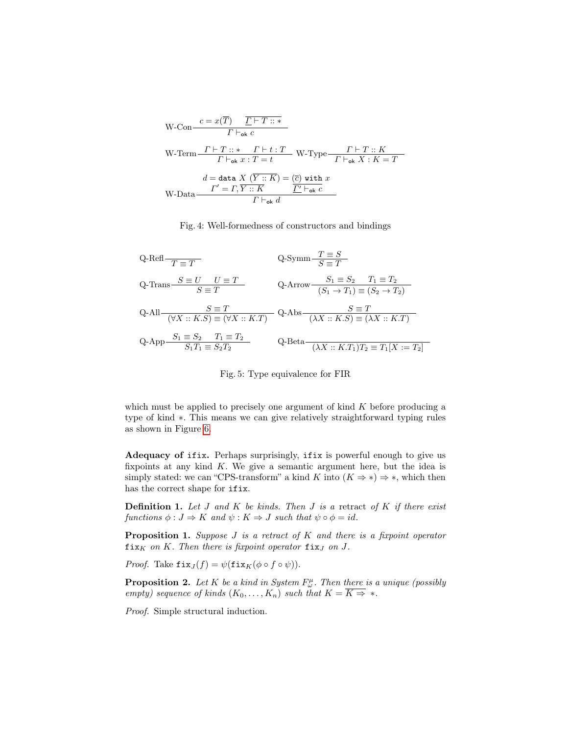<span id="page-7-0"></span>W-Con 
$$
\frac{c = x(\overline{T}) \quad \overline{\Gamma} \vdash T :: * }{\Gamma \vdash_{\mathsf{ok}} c}
$$
  
\nW-Term 
$$
\frac{\Gamma \vdash T :: * \quad \Gamma \vdash t : T}{\Gamma \vdash_{\mathsf{ok}} x : T = t} \quad \text{W-Type} \frac{\Gamma \vdash T :: K}{\Gamma \vdash_{\mathsf{ok}} X : K = T}
$$
  
\n
$$
d = \text{data } X (\overline{Y :: K}) = (\overline{c}) \text{ with } x
$$
  
\nW-Data 
$$
\frac{\Gamma' = \Gamma, \overline{Y :: K} \quad \overline{\Gamma' \vdash_{\mathsf{ok}} c}}{\Gamma \vdash_{\mathsf{ok}} d}
$$

Fig. 4: Well-formedness of constructors and bindings

<span id="page-7-1"></span>Q-Refl  $T \equiv T$ Q-Symm $\frac{T \equiv S}{S \equiv T}$ Q-Trans  $S \equiv U$   $U \equiv T$ <br>  $Q$ -Arrow  $S_1 \equiv S_2$   $T_1 \equiv T_2$ <br>  $(S_1 \rightarrow T_1) \equiv (S_2 \rightarrow T_2)$  $Q-All \frac{S \equiv T}{(\forall X :: K.S) \equiv (\forall X :: K.T)} Q-Abs \frac{S \equiv T}{(\lambda X :: K.S) \equiv (\lambda X :: K.T)}$ Q-App  $\frac{S_1 \equiv S_2 \qquad T_1 \equiv T_2}{S_1 T_1 \equiv S_2 T_2}$  Q-Beta  $\frac{S_1 T_1 \equiv S_2 T_2}{(\lambda X :: K.T_1)T_2 \equiv T_1 [X := T_2]}$ 

Fig. 5: Type equivalence for FIR

which must be applied to precisely one argument of kind  $K$  before producing a type of kind ∗. This means we can give relatively straightforward typing rules as shown in Figure [6.](#page-8-0)

Adequacy of ifix. Perhaps surprisingly, ifix is powerful enough to give us fixpoints at any kind  $K$ . We give a semantic argument here, but the idea is simply stated: we can "CPS-transform" a kind K into  $(K \Rightarrow *) \Rightarrow *$ , which then has the correct shape for ifix.

**Definition 1.** Let J and K be kinds. Then J is a retract of K if there exist functions  $\phi : J \Rightarrow K$  and  $\psi : K \Rightarrow J$  such that  $\psi \circ \phi = id$ .

<span id="page-7-3"></span>**Proposition 1.** Suppose  $J$  is a retract of  $K$  and there is a fixpoint operator  $fix_K$  on K. Then there is fixpoint operator  $fix_J$  on J.

*Proof.* Take  $\textbf{fix}_J(f) = \psi(\textbf{fix}_K(\phi \circ f \circ \psi)).$ 

<span id="page-7-2"></span>**Proposition 2.** Let K be a kind in System  $F^{\mu}_{\omega}$ . Then there is a unique (possibly empty) sequence of kinds  $(K_0, \ldots, K_n)$  such that  $K = \overline{K \Rightarrow *}.$ 

Proof. Simple structural induction.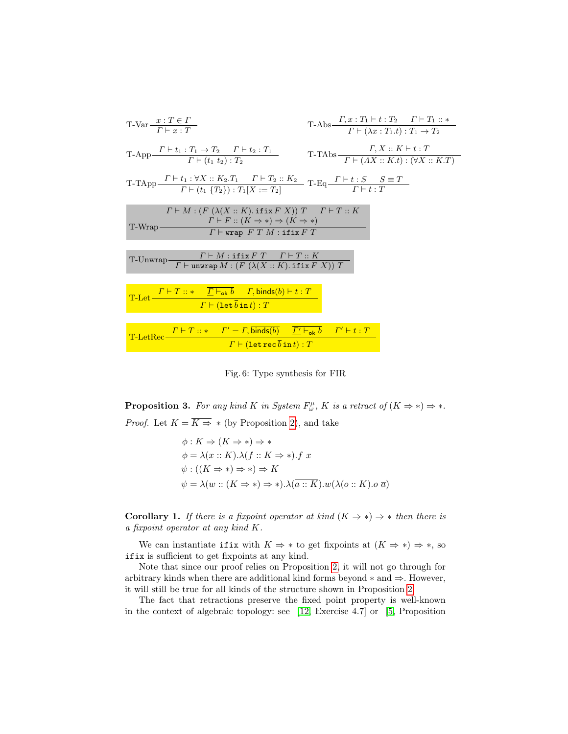<span id="page-8-0"></span>

Fig. 6: Type synthesis for FIR

**Proposition 3.** For any kind K in System  $F^{\mu}_{\omega}$ , K is a retract of  $(K \Rightarrow *) \Rightarrow *$ . *Proof.* Let  $K = \overline{K \Rightarrow *}$  (by Proposition [2\)](#page-7-2), and take

$$
\begin{aligned}\n\phi: K &\Rightarrow (K \Rightarrow *) &\Rightarrow * \\
\phi &= \lambda(x::K).\lambda(f::K \Rightarrow *) . f x \\
\psi: ((K \Rightarrow *) &\Rightarrow *) &\Rightarrow K \\
\psi &= \lambda(w::(K \Rightarrow *) &\Rightarrow *) . \lambda(\overline{a::K}).w(\lambda(o::K).o \overline{a}))\n\end{aligned}
$$

**Corollary 1.** If there is a fixpoint operator at kind  $(K \Rightarrow *) \Rightarrow *$  then there is a fixpoint operator at any kind K.

We can instantiate if ix with  $K \Rightarrow *$  to get fixpoints at  $(K \Rightarrow *) \Rightarrow *$ , so ifix is sufficient to get fixpoints at any kind.

Note that since our proof relies on Proposition [2,](#page-7-2) it will not go through for arbitrary kinds when there are additional kind forms beyond  $*$  and  $\Rightarrow$ . However, it will still be true for all kinds of the structure shown in Proposition [2.](#page-7-2)

The fact that retractions preserve the fixed point property is well-known in the context of algebraic topology: see [\[12,](#page-28-6) Exercise 4.7] or [\[5,](#page-28-7) Proposition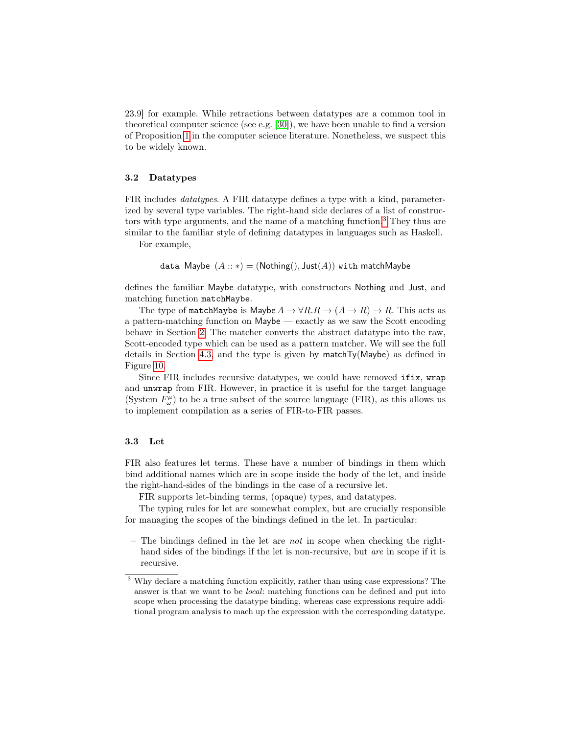23.9] for example. While retractions between datatypes are a common tool in theoretical computer science (see e.g. [\[30\]](#page-29-10)), we have been unable to find a version of Proposition [1](#page-7-3) in the computer science literature. Nonetheless, we suspect this to be widely known.

### 3.2 Datatypes

FIR includes datatypes. A FIR datatype defines a type with a kind, parameterized by several type variables. The right-hand side declares of a list of construc-tors with type arguments, and the name of a matching function.<sup>[3](#page-9-0)</sup> They thus are similar to the familiar style of defining datatypes in languages such as Haskell.

For example,

data Maybe  $(A::*) = (Nothing(), Just(A))$  with matchMaybe

defines the familiar Maybe datatype, with constructors Nothing and Just, and matching function matchMaybe.

The type of matchMaybe is Maybe  $A \to \forall R.R \to (A \to R) \to R$ . This acts as a pattern-matching function on Maybe — exactly as we saw the Scott encoding behave in Section [2.](#page-3-0) The matcher converts the abstract datatype into the raw, Scott-encoded type which can be used as a pattern matcher. We will see the full details in Section [4.3,](#page-16-0) and the type is given by matchTy(Maybe) as defined in Figure [10.](#page-17-0)

Since FIR includes recursive datatypes, we could have removed ifix, wrap and unwrap from FIR. However, in practice it is useful for the target language (System  $F^{\mu}_{\omega}$ ) to be a true subset of the source language (FIR), as this allows us to implement compilation as a series of FIR-to-FIR passes.

#### 3.3 Let

FIR also features let terms. These have a number of bindings in them which bind additional names which are in scope inside the body of the let, and inside the right-hand-sides of the bindings in the case of a recursive let.

FIR supports let-binding terms, (opaque) types, and datatypes.

The typing rules for let are somewhat complex, but are crucially responsible for managing the scopes of the bindings defined in the let. In particular:

– The bindings defined in the let are *not* in scope when checking the righthand sides of the bindings if the let is non-recursive, but are in scope if it is recursive.

<span id="page-9-0"></span><sup>3</sup> Why declare a matching function explicitly, rather than using case expressions? The answer is that we want to be *local*: matching functions can be defined and put into scope when processing the datatype binding, whereas case expressions require additional program analysis to mach up the expression with the corresponding datatype.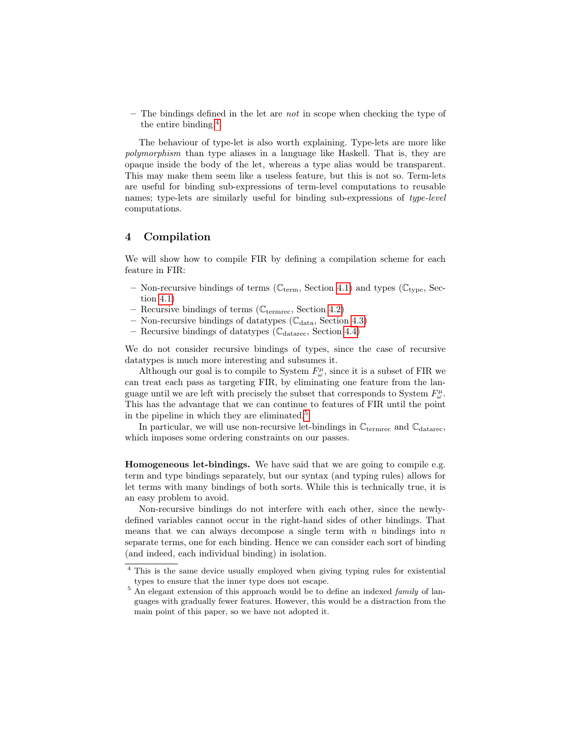$-$  The bindings defined in the let are not in scope when checking the type of the entire binding.[4](#page-10-0)

The behaviour of type-let is also worth explaining. Type-lets are more like polymorphism than type aliases in a language like Haskell. That is, they are opaque inside the body of the let, whereas a type alias would be transparent. This may make them seem like a useless feature, but this is not so. Term-lets are useful for binding sub-expressions of term-level computations to reusable names; type-lets are similarly useful for binding sub-expressions of type-level computations.

### 4 Compilation

We will show how to compile FIR by defining a compilation scheme for each feature in FIR:

- Non-recursive bindings of terms ( $\mathbb{C}_{term}$ , Section [4.1\)](#page-11-0) and types ( $\mathbb{C}_{trpe}$ , Section [4.1\)](#page-11-0)
- Recursive bindings of terms ( $\mathbb{C}_{\text{termrec}}$ , Section [4.2\)](#page-11-1)
- Non-recursive bindings of datatypes ( $\mathbb{C}_{data}$ , Section [4.3\)](#page-16-0)
- Recursive bindings of datatypes ( $\mathbb{C}_{\text{distance}}$ , Section [4.4\)](#page-19-0)

We do not consider recursive bindings of types, since the case of recursive datatypes is much more interesting and subsumes it.

Although our goal is to compile to System  $F_{\omega}^{\mu}$ , since it is a subset of FIR we can treat each pass as targeting FIR, by eliminating one feature from the language until we are left with precisely the subset that corresponds to System  $F^{\mu}_{\omega}$ . This has the advantage that we can continue to features of FIR until the point in the pipeline in which they are eliminated.<sup>[5](#page-10-1)</sup>

In particular, we will use non-recursive let-bindings in  $\mathbb{C}_{\text{termrec}}$  and  $\mathbb{C}_{\text{datarec}}$ , which imposes some ordering constraints on our passes.

Homogeneous let-bindings. We have said that we are going to compile e.g. term and type bindings separately, but our syntax (and typing rules) allows for let terms with many bindings of both sorts. While this is technically true, it is an easy problem to avoid.

Non-recursive bindings do not interfere with each other, since the newlydefined variables cannot occur in the right-hand sides of other bindings. That means that we can always decompose a single term with  $n$  bindings into  $n$ separate terms, one for each binding. Hence we can consider each sort of binding (and indeed, each individual binding) in isolation.

<span id="page-10-0"></span><sup>4</sup> This is the same device usually employed when giving typing rules for existential types to ensure that the inner type does not escape.

<span id="page-10-1"></span> $5$  An elegant extension of this approach would be to define an indexed  $family$  of languages with gradually fewer features. However, this would be a distraction from the main point of this paper, so we have not adopted it.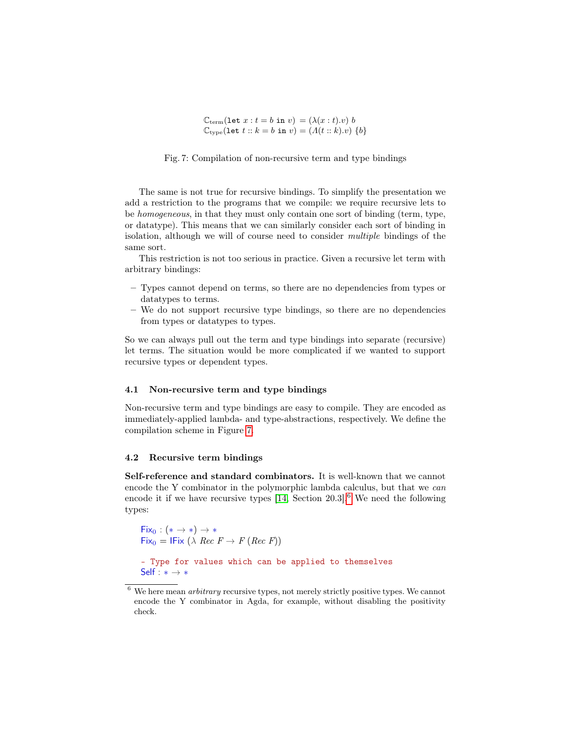|  | $\mathbb{C}_{\mathrm{term}}(\texttt{let } x:t=b \texttt{ in } v) = (\lambda(x:t).v) b$ |  |
|--|----------------------------------------------------------------------------------------|--|
|  | $\mathbb{C}_{\rm type}(\texttt{let}\; t::k=b\;\texttt{in}\; v) = (A(t::k).v)\; \{b\}$  |  |

#### <span id="page-11-2"></span>Fig. 7: Compilation of non-recursive term and type bindings

The same is not true for recursive bindings. To simplify the presentation we add a restriction to the programs that we compile: we require recursive lets to be homogeneous, in that they must only contain one sort of binding (term, type, or datatype). This means that we can similarly consider each sort of binding in isolation, although we will of course need to consider multiple bindings of the same sort.

This restriction is not too serious in practice. Given a recursive let term with arbitrary bindings:

- Types cannot depend on terms, so there are no dependencies from types or datatypes to terms.
- We do not support recursive type bindings, so there are no dependencies from types or datatypes to types.

So we can always pull out the term and type bindings into separate (recursive) let terms. The situation would be more complicated if we wanted to support recursive types or dependent types.

### <span id="page-11-0"></span>4.1 Non-recursive term and type bindings

Non-recursive term and type bindings are easy to compile. They are encoded as immediately-applied lambda- and type-abstractions, respectively. We define the compilation scheme in Figure [7.](#page-11-2)

### <span id="page-11-1"></span>4.2 Recursive term bindings

Self-reference and standard combinators. It is well-known that we cannot encode the Y combinator in the polymorphic lambda calculus, but that we can encode it if we have recursive types  $[14, Section 20.3]$  $[14, Section 20.3]$ <sup>[6](#page-11-3)</sup> We need the following types:

```
\mathsf{Fix}_0 : (* \to *) \to *Fix_0 = IFix (\lambda \text{ Rec } F \rightarrow F (\text{Rec } F))– Type for values which can be applied to themselves
```
Self : ∗ → ∗

<span id="page-11-3"></span> $6$  We here mean *arbitrary* recursive types, not merely strictly positive types. We cannot encode the Y combinator in Agda, for example, without disabling the positivity check.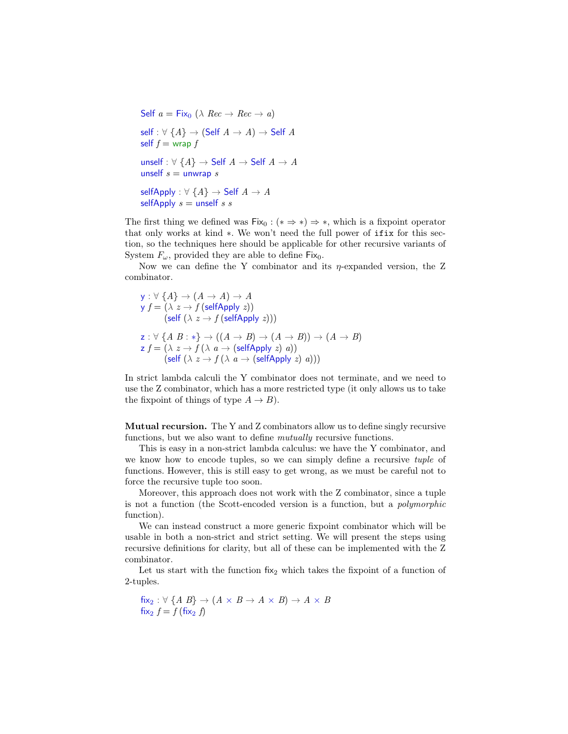```
Self a = Fix_0 (\lambda \text{ Rec} \rightarrow \text{Rec} \rightarrow a)self : \forall \{A\} \rightarrow (\mathsf{Self} \ A \rightarrow A) \rightarrow \mathsf{Self} \ Aself f = wrap funself : \forall \{A\} \rightarrow Self A \rightarrow Self A \rightarrow Aunself s = unwrap sselfApply : \forall \{A\} \rightarrow Self A \rightarrow AselfApply s = unself s s
```
The first thing we defined was  $Fix_0 : (* \Rightarrow *) \Rightarrow *$ , which is a fixpoint operator that only works at kind ∗. We won't need the full power of ifix for this section, so the techniques here should be applicable for other recursive variants of System  $F_{\omega}$ , provided they are able to define Fix<sub>0</sub>.

Now we can define the Y combinator and its  $\eta$ -expanded version, the Z combinator.

$$
y : \forall \{A\} \rightarrow (A \rightarrow A) \rightarrow A
$$
  
\n
$$
y f = (\lambda z \rightarrow f(\text{selfApply } z))
$$
  
\n
$$
(\text{self } (\lambda z \rightarrow f (\text{selfApply } z)))
$$
  
\n
$$
z : \forall \{A B : * \} \rightarrow ((A \rightarrow B) \rightarrow (A \rightarrow B)) \rightarrow (A \rightarrow B)
$$
  
\n
$$
z f = (\lambda z \rightarrow f (\lambda a \rightarrow (\text{selfApply } z) a))
$$
  
\n
$$
(\text{self } (\lambda z \rightarrow f (\lambda a \rightarrow (\text{selfApply } z) a)))
$$

In strict lambda calculi the Y combinator does not terminate, and we need to use the Z combinator, which has a more restricted type (it only allows us to take the fixpoint of things of type  $A \rightarrow B$ ).

Mutual recursion. The Y and Z combinators allow us to define singly recursive functions, but we also want to define mutually recursive functions.

This is easy in a non-strict lambda calculus: we have the Y combinator, and we know how to encode tuples, so we can simply define a recursive tuple of functions. However, this is still easy to get wrong, as we must be careful not to force the recursive tuple too soon.

Moreover, this approach does not work with the Z combinator, since a tuple is not a function (the Scott-encoded version is a function, but a polymorphic function).

We can instead construct a more generic fixpoint combinator which will be usable in both a non-strict and strict setting. We will present the steps using recursive definitions for clarity, but all of these can be implemented with the Z combinator.

Let us start with the function  $fix_2$  which takes the fixpoint of a function of 2-tuples.

$$
fix_2: \forall \{A \ B\} \rightarrow (A \times B \rightarrow A \times B) \rightarrow A \times B
$$
  

$$
fix_2 f = f(fix_2 f)
$$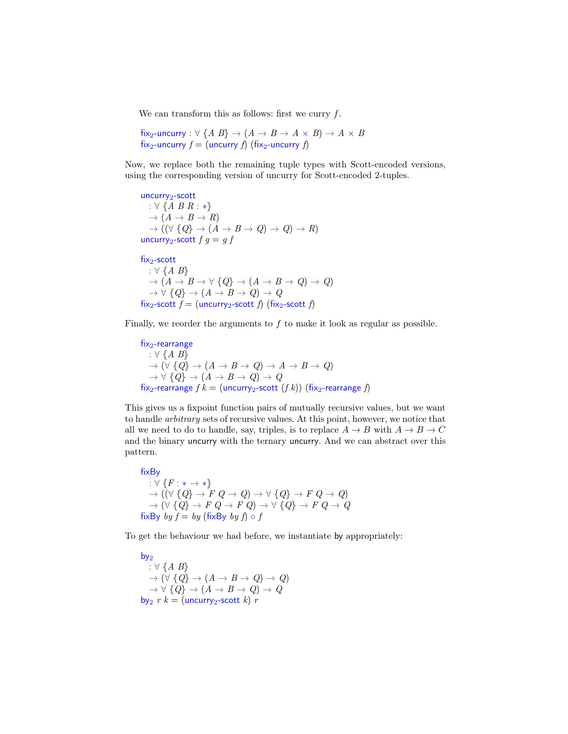We can transform this as follows: first we curry  $f$ .

fix<sub>2</sub>-uncurry :  $\forall$  {A B}  $\rightarrow$  (A  $\rightarrow$  B  $\rightarrow$  A  $\times$  B)  $\rightarrow$  A  $\times$  B fix<sub>2</sub>-uncurry  $f =$  (uncurry f) (fix<sub>2</sub>-uncurry f)

Now, we replace both the remaining tuple types with Scott-encoded versions, using the corresponding version of uncurry for Scott-encoded 2-tuples.

uncurry<sub>2</sub>-scott :  $\forall \{A \ B \ R : * \}$  $\rightarrow$   $(A \rightarrow B \rightarrow R)$  $\rightarrow ((\forall \{Q\} \rightarrow (\stackrel{\rightarrow}{A} \rightarrow B \rightarrow Q) \rightarrow Q) \rightarrow R)$ uncurry<sub>2</sub>-scott  $f g = g f$  $fix_2$ -scott :  $\forall \{A \ B\}$  $\rightarrow (A\rightarrow B\rightarrow \forall\;\{Q\}\rightarrow (A\rightarrow B\rightarrow \;Q)\rightarrow \;Q)$  $\rightarrow$   $\forall \ \{Q\} \rightarrow (A \rightarrow B \rightarrow \ Q) \rightarrow Q$ fix<sub>2</sub>-scott  $f = (uncarry_2\text{-}scott f)$  (fix<sub>2</sub>-scott f)

Finally, we reorder the arguments to  $f$  to make it look as regular as possible.

 $fix_2$ -rearrange :  $\forall \{A \ B\}$  $\rightarrow (\forall \{Q\} \rightarrow (A \rightarrow B \rightarrow Q) \rightarrow A \rightarrow B \rightarrow Q)$  $\rightarrow$   $\forall \ \{Q\} \rightarrow (A \rightarrow B \rightarrow \ Q) \rightarrow Q$ fix<sub>2</sub>-rearrange  $f k =$  (uncurry<sub>2</sub>-scott  $(f k)$ ) (fix<sub>2</sub>-rearrange  $f$ )

This gives us a fixpoint function pairs of mutually recursive values, but we want to handle arbitrary sets of recursive values. At this point, however, we notice that all we need to do to handle, say, triples, is to replace  $A \to B$  with  $A \to B \to C$ and the binary uncurry with the ternary uncurry. And we can abstract over this pattern.

```
fixBy
   : \forall {F : * \rightarrow *}
     \rightarrow ((\forall\;\{Q\}\rightarrow F\;Q\rightarrow Q)\rightarrow \forall\;\{Q\}\rightarrow F\;Q\rightarrow Q)\rightarrow (\forall \; \{Q\} \rightarrow F \; Q \rightarrow F \; Q) \rightarrow \forall \; \{Q\} \rightarrow F \; Q \rightarrow QfixBy by f = by (fixBy by f) \circ f
```
To get the behaviour we had before, we instantiate by appropriately:

 $by<sub>2</sub>$ :  $\forall$  {A B}  $\rightarrow (\forall \{Q\} \rightarrow (A \rightarrow B \rightarrow Q) \rightarrow Q)$  $\rightarrow \forall \{Q\} \rightarrow (A \rightarrow B \rightarrow Q) \rightarrow Q$ by<sub>2</sub>  $r k =$  (uncurry<sub>2</sub>-scott k)  $r$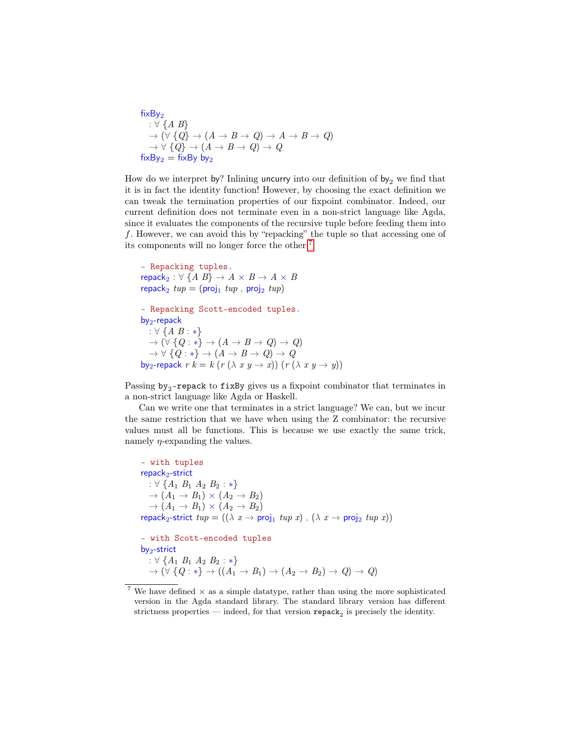```
fixBy<sub>2</sub>: \forall \{A \ B\}\rightarrow (\forall \; \{Q\} \rightarrow (A \rightarrow B \rightarrow \; Q) \rightarrow A \rightarrow B \rightarrow \; Q)\rightarrow \forall \ \{Q\} \rightarrow (A \rightarrow B \rightarrow \ Q) \rightarrow QfixBy_2 = fixBy by_2
```
How do we interpret by? Inlining uncurry into our definition of by<sub>2</sub> we find that it is in fact the identity function! However, by choosing the exact definition we can tweak the termination properties of our fixpoint combinator. Indeed, our current definition does not terminate even in a non-strict language like Agda, since it evaluates the components of the recursive tuple before feeding them into f. However, we can avoid this by "repacking" the tuple so that accessing one of its components will no longer force the other.[7](#page-14-0)

```
– Repacking tuples.
repack_2 : \forall \; \{A \; B\} \rightarrow A \times B \rightarrow A \times Brepack<sub>2</sub> tup = (proj_1 \, tup \, , \, proj_2 \, tup)– Repacking Scott-encoded tuples.
by<sub>2</sub>-repack
   : \forall {A B : *}
    \rightarrow (\forall \{Q:*\} \rightarrow (A \rightarrow B \rightarrow Q) \rightarrow Q)\rightarrow \forall \ \{Q:\ast\} \rightarrow (A \rightarrow B \rightarrow \ Q) \rightarrow Qby<sub>2</sub>-repack r k = k (r (\lambda x y \rightarrow x)) (r (\lambda x y \rightarrow y))
```
Passing  $by_2$ -repack to fixBy gives us a fixpoint combinator that terminates in a non-strict language like Agda or Haskell.

Can we write one that terminates in a strict language? We can, but we incur the same restriction that we have when using the Z combinator: the recursive values must all be functions. This is because we use exactly the same trick, namely  $\eta$ -expanding the values.

```
– with tuples
repack<sub>2</sub>-strict
   : ∀ {A_1 B_1 A_2 B_2 : *}\rightarrow (A_1 \rightarrow B_1) \times (A_2 \rightarrow B_2)\rightarrow (A_1 \rightarrow B_1) \times (A_2 \rightarrow B_2)repack<sub>2</sub>-strict tup = ((\lambda x \rightarrow \text{proj}_1 \; tup \; x), (\lambda x \rightarrow \text{proj}_2 \; tup \; x))– with Scott-encoded tuples
by<sub>2</sub>-strict: \forall \{A_1 \ B_1 \ A_2 \ B_2 : * \}\rightarrow (\forall \; \{Q:*\} \rightarrow ((A_1 \rightarrow B_1) \rightarrow (A_2 \rightarrow B_2) \rightarrow Q) \rightarrow Q)
```
<span id="page-14-0"></span> $^7$  We have defined  $\times$  as a simple data<br>type, rather than using the more sophisticated version in the Agda standard library. The standard library version has different strictness properties — indeed, for that version  $\texttt{repack}_2$  is precisely the identity.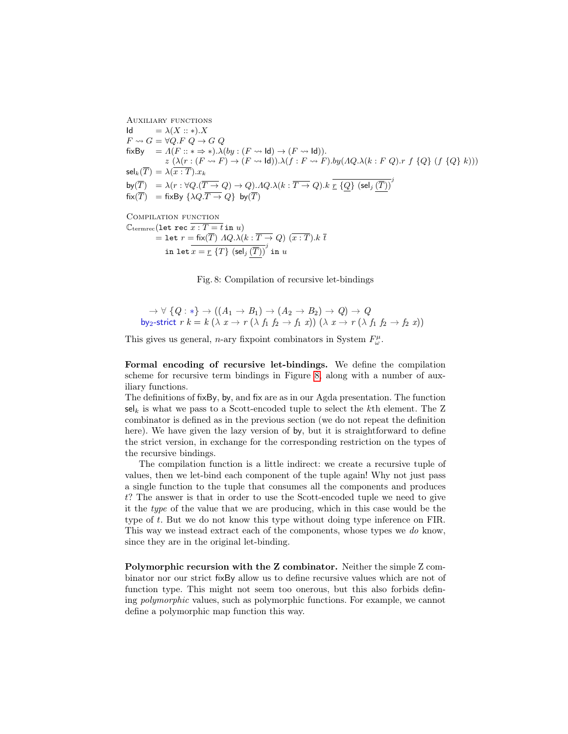<span id="page-15-0"></span>Auxiliary functions Id  $= \lambda(X :: *)$ .  $F \rightsquigarrow G = \forall Q.F Q \rightarrow G Q$ fixBy  $= \Lambda(F::* \Rightarrow *).\lambda(by:(F \rightsquigarrow \text{Id}) \rightarrow (F \rightsquigarrow \text{Id})).$  $z (\lambda(r:(F \rightsquigarrow F) \rightarrow (F \rightsquigarrow \mathsf{Id})) \cdot \lambda(f: F \rightsquigarrow F).by(AQ.\lambda(k: F Q).r f \{Q\} (f \{Q\} k)))$  $\mathsf{sel}_k(\overline{T}) = \lambda(\overline{x : T}).x_k$  $\mathsf{by}(\overline{T}) \;\; = \lambda(r: \forall Q . (\overline{T \rightarrow Q}) \rightarrow Q) . A Q . \lambda(k: \overline{T \rightarrow Q}) . k \; \overline{\underline{r} \; \{Q\} \; (\mathsf{sel}_j \; (\overline{T}))}^j$  $fix(\overline{T}) = fixBy \{ \lambda Q.\overline{T \rightarrow Q} \} by(\overline{T})$ Compilation function  $\mathbb{C}_{\text{termrec}}(\text{let rec } \overline{x} : T = t \text{ in } u)$ = let  $r = \textsf{fix}(\overline{T})\,\, A Q. \dot\lambda\big(k:\overline{T\rightarrow Q}\big)\,\, (\overline{x:T}).k\,\,\overline{t}$ in let  $\overline{x = \underline{r} \,\left\{ T \right\} \,\left( \text{sel}_j \,(\overline{T}) \right)}^j$  in  $u$ 

Fig. 8: Compilation of recursive let-bindings

$$
\rightarrow \forall \{Q: *\} \rightarrow ((A_1 \rightarrow B_1) \rightarrow (A_2 \rightarrow B_2) \rightarrow Q) \rightarrow Q
$$
  
by<sub>2</sub>-strict  $r k = k (\lambda x \rightarrow r (\lambda f_1 f_2 \rightarrow f_1 x)) (\lambda x \rightarrow r (\lambda f_1 f_2 \rightarrow f_2 x))$ 

This gives us general, *n*-ary fixpoint combinators in System  $F^{\mu}_{\omega}$ .

Formal encoding of recursive let-bindings. We define the compilation scheme for recursive term bindings in Figure [8,](#page-15-0) along with a number of auxiliary functions.

The definitions of fixBy, by, and fix are as in our Agda presentation. The function  $\text{sel}_k$  is what we pass to a Scott-encoded tuple to select the kth element. The Z combinator is defined as in the previous section (we do not repeat the definition here). We have given the lazy version of by, but it is straightforward to define the strict version, in exchange for the corresponding restriction on the types of the recursive bindings.

The compilation function is a little indirect: we create a recursive tuple of values, then we let-bind each component of the tuple again! Why not just pass a single function to the tuple that consumes all the components and produces t? The answer is that in order to use the Scott-encoded tuple we need to give it the type of the value that we are producing, which in this case would be the type of t. But we do not know this type without doing type inference on FIR. This way we instead extract each of the components, whose types we do know, since they are in the original let-binding.

Polymorphic recursion with the Z combinator. Neither the simple Z combinator nor our strict fixBy allow us to define recursive values which are not of function type. This might not seem too onerous, but this also forbids defining polymorphic values, such as polymorphic functions. For example, we cannot define a polymorphic map function this way.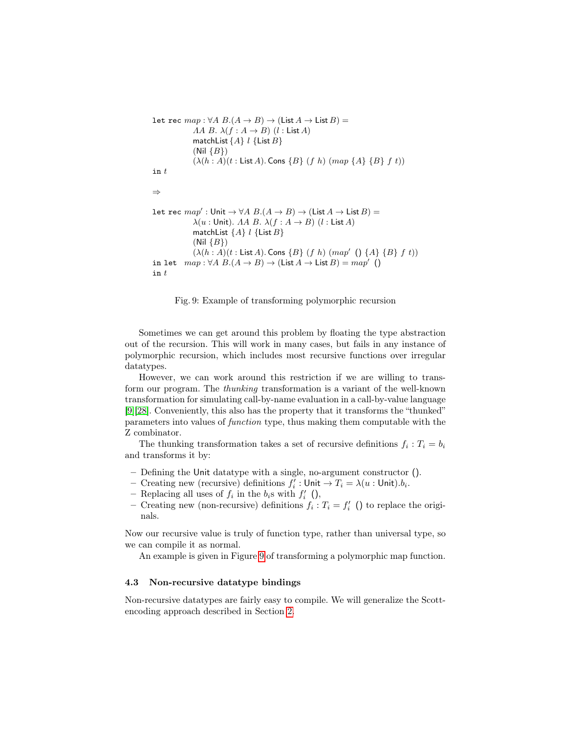```
let rec map : \forall A \ B. (A \rightarrow B) \rightarrow (\text{List } A \rightarrow \text{List } B) =\Lambda A \ B. \ \lambda (f : A \rightarrow B) \ (l : List A)matchList \{A\} l \{ List B\}(Nil \{B\})(\lambda(h : A)(t : List A). Cons {B} (f h) (map {A} {B} f)\texttt{in}~t⇒
let rec map' : Unit \rightarrow \forall A \; B. (A \rightarrow B) \rightarrow (\text{List } A \rightarrow \text{List } B) =\lambda(u : \text{Unit}). AA B. \lambda(f : A \rightarrow B) (l: List A)
                 matchList \{A\} l \{\textsf{List }B\}(Nil \{B\})(\lambda(h : A)(t : List A). Cons {B} (f h) (map' () {A} {B} f)in let map : \forall A \ B.(A \rightarrow B) \rightarrow (\text{List } A \rightarrow \text{List } B) = map'()in t
```


Sometimes we can get around this problem by floating the type abstraction out of the recursion. This will work in many cases, but fails in any instance of polymorphic recursion, which includes most recursive functions over irregular datatypes.

However, we can work around this restriction if we are willing to transform our program. The thunking transformation is a variant of the well-known transformation for simulating call-by-name evaluation in a call-by-value language [\[9\]](#page-28-9)[\[28\]](#page-29-11). Conveniently, this also has the property that it transforms the "thunked" parameters into values of function type, thus making them computable with the Z combinator.

The thunking transformation takes a set of recursive definitions  $f_i: T_i = b_i$ and transforms it by:

- Defining the Unit datatype with a single, no-argument constructor ().
- Creating new (recursive) definitions  $f'_i : \mathsf{Unit} \to T_i = \lambda(u : \mathsf{Unit}).b_i$ .
- Replacing all uses of  $f_i$  in the  $b_i$ s with  $f'_i$  (),
- Creating new (non-recursive) definitions  $f_i: T_i = f'_i$  () to replace the originals.

Now our recursive value is truly of function type, rather than universal type, so we can compile it as normal.

An example is given in Figure [9](#page-16-1) of transforming a polymorphic map function.

#### <span id="page-16-0"></span>4.3 Non-recursive datatype bindings

Non-recursive datatypes are fairly easy to compile. We will generalize the Scottencoding approach described in Section [2.](#page-3-0)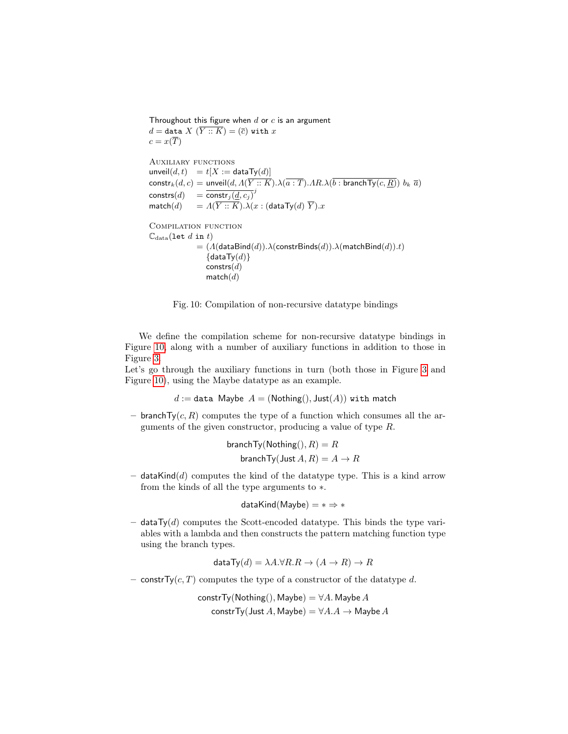<span id="page-17-0"></span>Throughout this figure when  $d$  or  $c$  is an argument  $d =$  data  $X(\overline{Y::K}) = (\overline{c})$  with x  $c = x(\overline{T})$ Auxiliary functions unveil $(d, t) = t[X := \text{dataTy}(d)]$ constr $k(d, c)$  = unveil $(d, A(\overline{Y::K}).\lambda(\overline{a:T}).AR.\lambda(\overline{b:\text{branchTy}(c, \underline{R})})$   $b_k$   $\overline{a})$  $\mathsf{constrs}(d) = \overline{\mathsf{constr}_j(\underline{d},c_j)}^j$ match $(d) = \Lambda(\overline{Y : : K}) \cdot \lambda(x : (\text{dataTy}(d), \overline{Y}) \cdot x)$ Compilation function  $\mathbb{C}_{data}(\texttt{let } d \texttt{ in } t)$  $= (\Lambda(\text{dataBind}(d)).\lambda(\text{constrBinds}(d)).\lambda(\text{matchBind}(d)).t)$  $\{dataTy(d)\}$ constrs $(d)$  $match(d)$ 

Fig. 10: Compilation of non-recursive datatype bindings

We define the compilation scheme for non-recursive datatype bindings in Figure [10,](#page-17-0) along with a number of auxiliary functions in addition to those in Figure [3.](#page-6-1)

Let's go through the auxiliary functions in turn (both those in Figure [3](#page-6-1) and Figure [10\)](#page-17-0), using the Maybe datatype as an example.

 $d :=$  data Maybe  $A = (Nothing(), Just(A))$  with match

– branchTy(c, R) computes the type of a function which consumes all the arguments of the given constructor, producing a value of type R.

> branchTy(Nothing(),  $R$ ) = R branchTy(Just  $A, R$ ) =  $A \rightarrow R$

 $-$  dataKind(d) computes the kind of the datatype type. This is a kind arrow from the kinds of all the type arguments to ∗.

dataKind(Maybe) =  $* \Rightarrow *$ 

 $-$  dataTy(d) computes the Scott-encoded datatype. This binds the type variables with a lambda and then constructs the pattern matching function type using the branch types.

$$
dataTy(d) = \lambda A. \forall R.R \to (A \to R) \to R
$$

– constrTy( $c, T$ ) computes the type of a constructor of the datatype d.

constrTy(Nothing(), Maybe) =  $\forall A$ . Maybe A constrTy(Just A, Maybe) =  $\forall A.A \rightarrow \text{Maybe } A$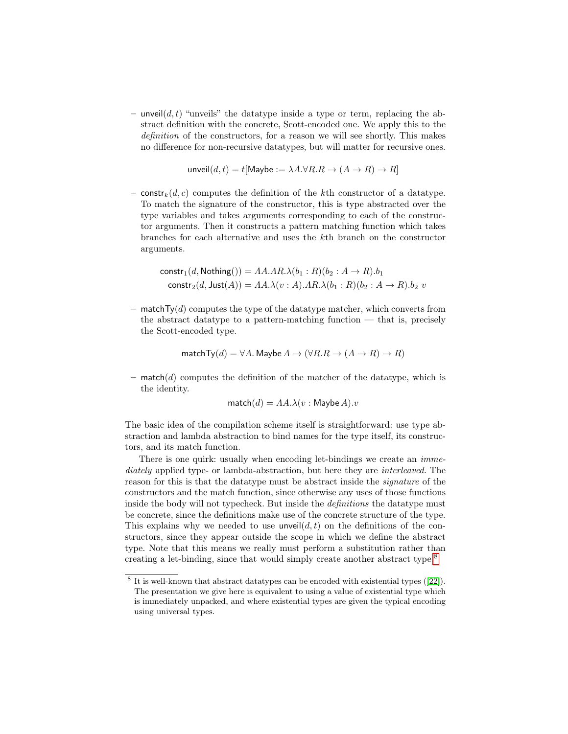– unveil $(d, t)$  "unveils" the datatype inside a type or term, replacing the abstract definition with the concrete, Scott-encoded one. We apply this to the definition of the constructors, for a reason we will see shortly. This makes no difference for non-recursive datatypes, but will matter for recursive ones.

unveil
$$
(d, t) = t
$$
[Maybe :=  $\lambda A \forall R.R \rightarrow (A \rightarrow R) \rightarrow R$ ]

– constructor of a datatype. To match the signature of the constructor, this is type abstracted over the type variables and takes arguments corresponding to each of the constructor arguments. Then it constructs a pattern matching function which takes branches for each alternative and uses the kth branch on the constructor arguments.

$$
constr_1(d, \text{Nothing}()) = \Lambda A \cdot \Lambda R \cdot \lambda (b_1 : R)(b_2 : A \to R) \cdot b_1
$$

$$
constr_2(d, \text{Just}(A)) = \Lambda A \cdot \lambda (v : A) \cdot \Lambda R \cdot \lambda (b_1 : R)(b_2 : A \to R) \cdot b_2 v
$$

 $-$  matchTy(d) computes the type of the datatype matcher, which converts from the abstract datatype to a pattern-matching function — that is, precisely the Scott-encoded type.

$$
\text{matchTy}(d) = \forall A. \text{ Maybe } A \to (\forall R.R \to (A \to R) \to R)
$$

 $-$  match(d) computes the definition of the matcher of the datatype, which is the identity.

$$
\mathsf{match}(d) = AA.\lambda(v : \mathsf{Maybe}\,A).v
$$

The basic idea of the compilation scheme itself is straightforward: use type abstraction and lambda abstraction to bind names for the type itself, its constructors, and its match function.

There is one quirk: usually when encoding let-bindings we create an *imme*diately applied type- or lambda-abstraction, but here they are interleaved. The reason for this is that the datatype must be abstract inside the signature of the constructors and the match function, since otherwise any uses of those functions inside the body will not typecheck. But inside the *definitions* the datatype must be concrete, since the definitions make use of the concrete structure of the type. This explains why we needed to use unveil $(d, t)$  on the definitions of the constructors, since they appear outside the scope in which we define the abstract type. Note that this means we really must perform a substitution rather than creating a let-binding, since that would simply create another abstract type.[8](#page-18-0)

<span id="page-18-0"></span> $8$  It is well-known that abstract datatypes can be encoded with existential types ([\[22\]](#page-29-12)). The presentation we give here is equivalent to using a value of existential type which is immediately unpacked, and where existential types are given the typical encoding using universal types.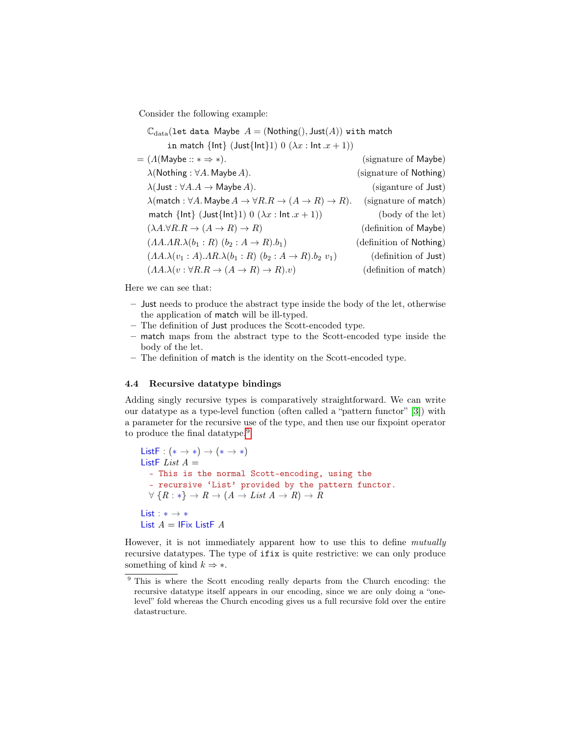Consider the following example:

|                              | $\mathbb{C}_{data}$ (let data Maybe $A = (Nothing(), Just(A))$ with match         |
|------------------------------|-----------------------------------------------------------------------------------|
|                              | in match $\{\ln t\}$ (Just $\{\ln t\}$ 1) 0 ( $\lambda x$ : $\ln t$ . $x + 1$ ))  |
| (signature of Maybe)         | $= (A(Maybe :: * \Rightarrow *)$ .                                                |
| (signature of Nothing)       | $\lambda$ (Nothing: $\forall A$ . Maybe A).                                       |
| (siganture of <b>Just</b> )  | $\lambda$ (Just : $\forall A.A \rightarrow$ Maybe A).                             |
| (signature of match)         | $\lambda$ (match : $\forall A$ . Maybe $A \to \forall R.R \to (A \to R) \to R$ ). |
| (body of the let)            | match $\{\ln t\}$ (Just $\{\ln t\}$ 1) 0 ( $\lambda x$ : $\ln t$ . $x + 1$ ))     |
| (definition of Maybe)        | $(\lambda A. \forall R.R \rightarrow (A \rightarrow R) \rightarrow R)$            |
| (definition of Nothing)      | $(AA \cdot AR \cdot \lambda(b_1 : R) (b_2 : A \rightarrow R) \cdot b_1)$          |
| (definition of <b>Just</b> ) | $(AA.\lambda(v_1:A).AR.\lambda(b_1:R)$ $(b_2:A\rightarrow R).b_2$ $v_1)$          |
| (definition of match)        | $(AA.\lambda(v:\forall R.R \rightarrow (A \rightarrow R) \rightarrow R).v)$       |

Here we can see that:

- Just needs to produce the abstract type inside the body of the let, otherwise the application of match will be ill-typed.
- The definition of Just produces the Scott-encoded type.
- match maps from the abstract type to the Scott-encoded type inside the body of the let.
- The definition of match is the identity on the Scott-encoded type.

#### <span id="page-19-0"></span>4.4 Recursive datatype bindings

Adding singly recursive types is comparatively straightforward. We can write our datatype as a type-level function (often called a "pattern functor" [\[3\]](#page-28-10)) with a parameter for the recursive use of the type, and then use our fixpoint operator to produce the final datatype.<sup>[9](#page-19-1)</sup>

```
ListF : (* \rightarrow *) \rightarrow (* \rightarrow *)ListF List A =– This is the normal Scott-encoding, using the
  – recursive 'List' provided by the pattern functor.
  \forall \{R : * \} \rightarrow R \rightarrow (A \rightarrow List A \rightarrow R) \rightarrow RList : ∗ → ∗
List A = IFix ListF A
```
However, it is not immediately apparent how to use this to define mutually recursive datatypes. The type of ifix is quite restrictive: we can only produce something of kind  $k \Rightarrow *$ .

<span id="page-19-1"></span><sup>&</sup>lt;sup>9</sup> This is where the Scott encoding really departs from the Church encoding: the recursive datatype itself appears in our encoding, since we are only doing a "onelevel" fold whereas the Church encoding gives us a full recursive fold over the entire datastructure.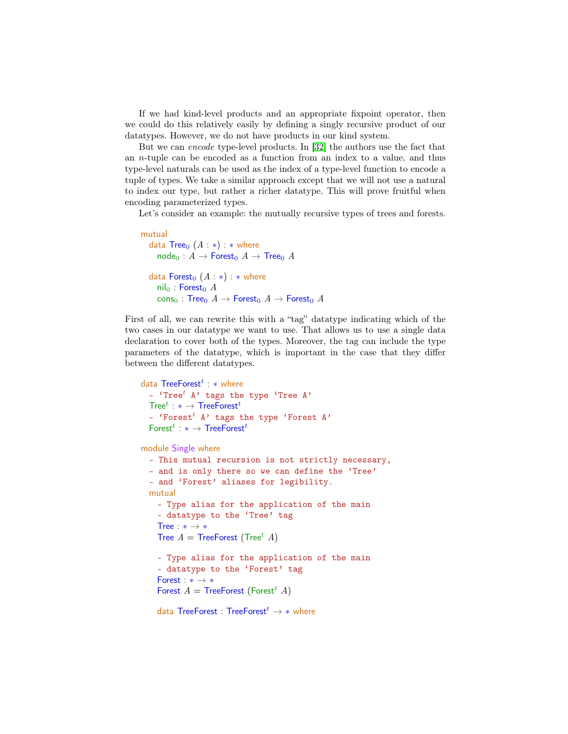If we had kind-level products and an appropriate fixpoint operator, then we could do this relatively easily by defining a singly recursive product of our datatypes. However, we do not have products in our kind system.

But we can encode type-level products. In [\[32\]](#page-30-0) the authors use the fact that an *n*-tuple can be encoded as a function from an index to a value, and thus type-level naturals can be used as the index of a type-level function to encode a tuple of types. We take a similar approach except that we will not use a natural to index our type, but rather a richer datatype. This will prove fruitful when encoding parameterized types.

Let's consider an example: the mutually recursive types of trees and forests.

```
mutual
   data Tree<sub>0</sub> (A : *) : * where
       node_0: A \rightarrow Forest<sub>0</sub> A \rightarrow Tree<sub>0</sub> A
   data Forest<sub>0</sub> (A : *) : * where
       nil_0: Forest<sub>0</sub> A
       \cos_0 : Tree<sub>0</sub> A \rightarrow Forest<sub>0</sub> A \rightarrow Forest<sub>0</sub> A
```
First of all, we can rewrite this with a "tag" datatype indicating which of the two cases in our datatype we want to use. That allows us to use a single data declaration to cover both of the types. Moreover, the tag can include the type parameters of the datatype, which is important in the case that they differ between the different datatypes.

```
data \mathsf{TreeForest}^{t} : \ast \mathsf{where}- 'Tree<sup>t</sup> A' tags the type 'Tree A'
  Tree{}^t: * \to \mathsf{TreeForest}{}^t- 'Forest<sup>t</sup> A' tags the type 'Forest A'
  Forest{}^t: * \to \mathsf{TreeForest}{}^tmodule Single where
  – This mutual recursion is not strictly necessary,
  – and is only there so we can define the 'Tree'
  – and 'Forest' aliases for legibility.
  mutual
    – Type alias for the application of the main
    – datatype to the 'Tree' tag
    Tree : ∗ → ∗
    Tree A = TreeForest (Tree<sup>t</sup> A)
    – Type alias for the application of the main
    – datatype to the 'Forest' tag
    Forest : ∗ → ∗
    Forest A = TreeForest (Forest<sup>t</sup> A)
    data TreeForest : TreeForest<sup>t \rightarrow *</sup> where
```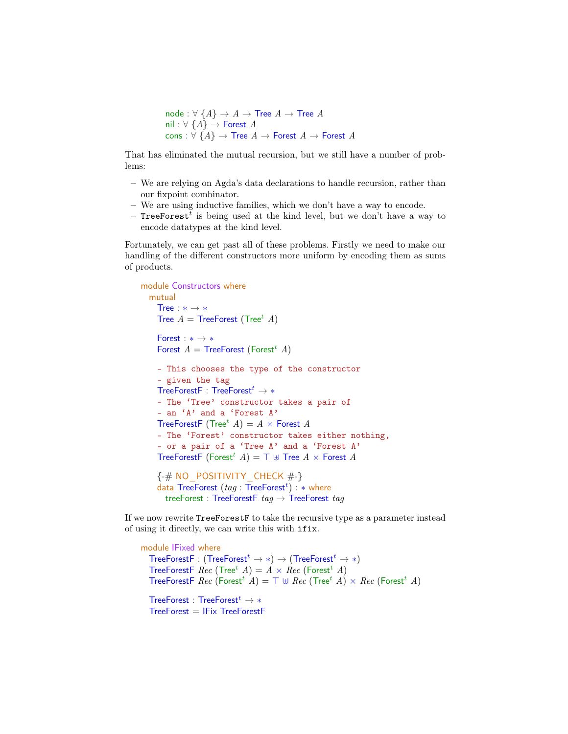```
node : \forall \{A\} \rightarrow A \rightarrow Tree A \rightarrow Tree Anil : \forall \{A\} \rightarrow Forest A
cons : \forall \{A\} \rightarrow Tree A \rightarrow Forest A \rightarrow Forest A
```
That has eliminated the mutual recursion, but we still have a number of problems:

- We are relying on Agda's data declarations to handle recursion, rather than our fixpoint combinator.
- We are using inductive families, which we don't have a way to encode.
- TreeForest<sup>t</sup> is being used at the kind level, but we don't have a way to encode datatypes at the kind level.

Fortunately, we can get past all of these problems. Firstly we need to make our handling of the different constructors more uniform by encoding them as sums of products.

```
module Constructors where
  mutual
    Tree : ∗ → ∗
    Tree A = TreeForest (Tree<sup>t</sup> A)
    Forest : ∗ → ∗
    Forest A = TreeForest (Forest<sup>t</sup> A)
    – This chooses the type of the constructor
    – given the tag
    TreeForestF : TreeForest^t \rightarrow *– The 'Tree' constructor takes a pair of
    – an 'A' and a 'Forest A'
    TreeForestF (Tree<sup>t</sup> A) = A \times Forest A– The 'Forest' constructor takes either nothing,
    – or a pair of a 'Tree A' and a 'Forest A'
    TreeForestF (Forest<sup>t</sup> A) = \top \oplus Tree A \times Forest A
    \{-# NO POSITIVITY CHECK #-}
    data TreeForest (tag : \textsf{TreeForest}^t) : * \textsf{where}treeForest : TreeForestF tag \rightarrow TreeForest tag
```
If we now rewrite TreeForestF to take the recursive type as a parameter instead of using it directly, we can write this with ifix.

module IFixed where TreeForestF : (TreeForest<sup>t</sup>  $\rightarrow *$ )  $\rightarrow$  (TreeForest<sup>t</sup>  $\rightarrow *$ ) TreeForestF  $Rec$  (Tree<sup>t</sup>  $A$ ) =  $A \times Rec$  (Forest<sup>t</sup> A) TreeForestF  $Rec$  (Forest<sup>t</sup> A) =  $\top \oplus Rec$  (Tree<sup>t</sup> A) × Rec (Forest<sup>t</sup> A) TreeForest : TreeForest $^t \rightarrow *$ TreeForest = IFix TreeForestF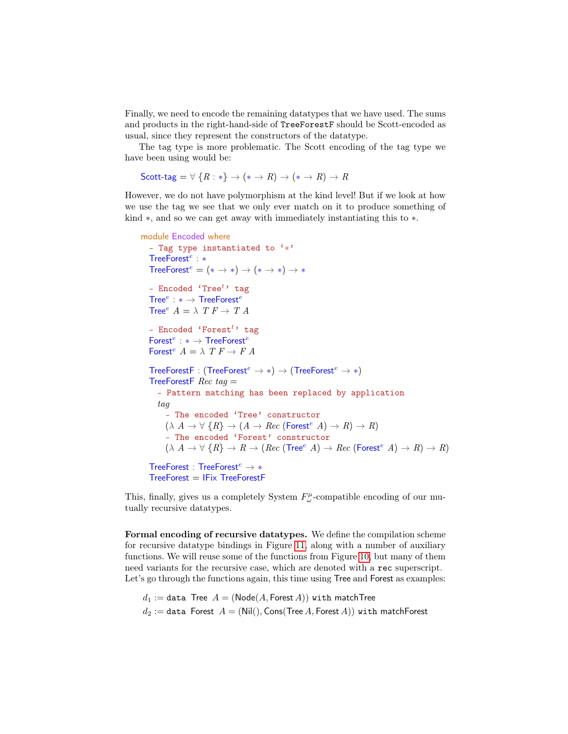Finally, we need to encode the remaining datatypes that we have used. The sums and products in the right-hand-side of TreeForestF should be Scott-encoded as usual, since they represent the constructors of the datatype.

The tag type is more problematic. The Scott encoding of the tag type we have been using would be:

Scott-tag =  $\forall$   $\{R : * \} \rightarrow (* \rightarrow R) \rightarrow (* \rightarrow R) \rightarrow R$ 

However, we do not have polymorphism at the kind level! But if we look at how we use the tag we see that we only ever match on it to produce something of kind ∗, and so we can get away with immediately instantiating this to ∗.

```
module Encoded where
   – Tag type instantiated to '∗'
   TreeForest<sup>e</sup> : ∗
  TreeForest<sup>e</sup> = (* \rightarrow *) \rightarrow (* \rightarrow *) \rightarrow *- Encoded 'Tree<sup>t</sup>, tag
   Treee^e : * \to TreeForeste^eTree<sup>e</sup> A = \lambda T F \rightarrow T A- Encoded '\text{Forest}^{t}' tag
   \mathsf{Forest}^e: \ast \to \mathsf{TreeForest}^eForest<sup>e</sup> A = \lambda T F \rightarrow F ATreeForestF : (TreeForest<sup>e</sup> \rightarrow *) \rightarrow (TreeForest<sup>e</sup> \rightarrow *)
  TreeForestF Rec \, taq =– Pattern matching has been replaced by application
     tag
        – The encoded 'Tree' constructor
        (\lambda \: A \to \forall \: \{R\} \to (A \to Rec \: (Forest^e \: A) \to R) \to R)– The encoded 'Forest' constructor
        (\lambda \ A \to \forall \ \{R\} \to R \to (Rec \ (Tree \ A) \to Rec \ (Forest^e \ A) \to R) \to R)TreeForest : TreeForeste \rightarrow *TreeForest = IFix TreeForest
```
This, finally, gives us a completely System  $F^{\mu}_{\omega}$ -compatible encoding of our mutually recursive datatypes.

Formal encoding of recursive datatypes. We define the compilation scheme for recursive datatype bindings in Figure [11,](#page-23-0) along with a number of auxiliary functions. We will reuse some of the functions from Figure [10,](#page-17-0) but many of them need variants for the recursive case, which are denoted with a rec superscript. Let's go through the functions again, this time using Tree and Forest as examples:

 $d_1 :=$  data Tree  $A = (Node(A, Forest A))$  with matchTree  $d_2 :=$  data Forest  $A = (Nil(), Cons(Tree A, Forest A))$  with matchForest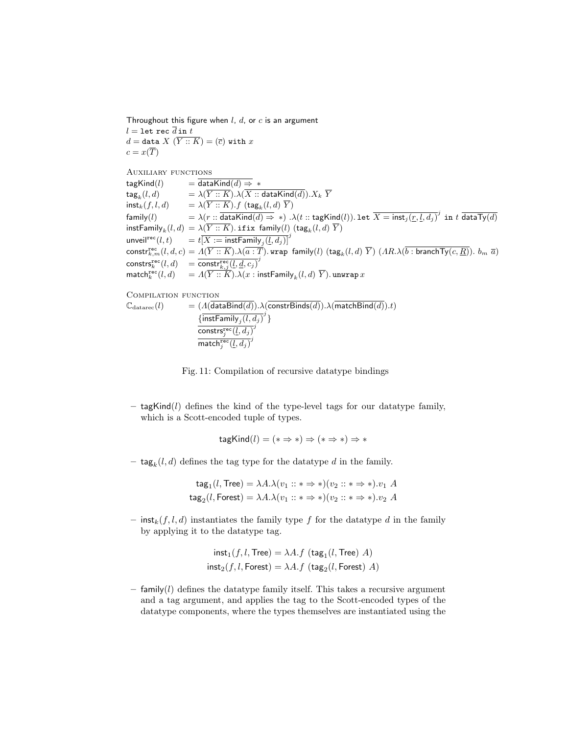<span id="page-23-0"></span>Throughout this figure when  $l, d$ , or  $c$  is an argument  $l =$  let rec  $\overline{d}$  in  $t$  $d =$  data  $X(\overline{Y :: K}) = (\overline{c})$  with  $x$  $c = x(\overline{T})$ 

Auxiliary functions  $tagKind(l) = \overline{dataKind(d) \Rightarrow *}$  $\begin{array}{l} \mathsf{tag}_k(l,d) \ \mathsf{inst}_k(f,l,d) \end{array}$  $(l,d) \qquad \qquad = \lambda(Y::K).\lambda(X::\mathsf{dataKind}}(d)).X_k \; Y$  $\mathsf{inst}_k(f, l, d)$  =  $\lambda(Y :: K).f$   $(\mathsf{tag}_k(l, d) \ Y)$  $\mathsf{family}(l) \quad \qquad = \lambda(r::\overline{\mathsf{dataKind}(d) \Rightarrow}\ \ast) \ \ . \lambda(t::\mathsf{tagKind}(l)).\ \mathsf{let} \ \ \overline{X = \mathsf{inst}_j(\underline{r},\underline{l},d_j)}^j \ \ \mathsf{in} \ \ t \ \ \overline{\mathsf{dataTy}(d)}$  ${\sf instFamily}_k(l, d) = \lambda(Y::K)$ . ifix  ${\sf family}(l)$   $({\sf tag}_k(l, d)$   $Y)$ unveil $\textsf{I}^\textsf{rec}(l,t) \quad \quad = t\overline{[X := \textsf{instFamily}_j(l,d_j)]}^j$  $\mathsf{constr}_{k,m}^{\mathsf{rec}}(l,d,c) = A(\overline{Y::K}).\lambda(\overline{a:T}).$  wrap  $\; \mathsf{family}(l) \; (\mathsf{tag}_{k}(l,d) \; \overline{Y}) \; (AR.\lambda(\overline{b:\mathsf{branchTy}(c,\underline{R})}). \; b_m \; \overline{a})$  $\mathsf{constr}^\mathtt{rec}_k(l,d) \quad = \overline{\mathsf{constr}^\mathtt{rec}_{k,j}(\underline{l},\underline{d},c_j)}^j$  $\mathsf{match}^\mathtt{rec}_k(l, d)$  $\mathcal{L}_k^{\mathsf{rec}}(l,d) \quad = A(Y::K) . \lambda(x:\mathsf{instFamily}_k(l,d)\;Y).$  unwrap  $x$ 

```
Compilation function
```

$$
\begin{array}{ll}\mathbb{C}_{\mathrm{datarec}}(l)&=&\big(A(\overline{\mathsf{dataBind}(d)}).\lambda(\overline{\mathsf{constrBinds}(d)}).\lambda(\overline{\mathsf{matchBind}(d)}).t)\notag\\ &\xrightarrow{\{\mathsf{instFamily}_j(l,d_j)^j\}}\overline{\mathsf{constrs}_j^\mathsf{rec}(l,d_j)^j} \\ &\xrightarrow{\mathsf{match}^\mathsf{rec}_j(l,d_j)^j}\end{array}
$$

Fig. 11: Compilation of recursive datatype bindings

 $-$  tagKind(l) defines the kind of the type-level tags for our datatype family, which is a Scott-encoded tuple of types.

$$
tagKind(l) = (* \Rightarrow *) \Rightarrow (* \Rightarrow *) \Rightarrow *
$$

-  $\text{tag}_k(l, d)$  defines the tag type for the datatype d in the family.

 $\textsf{tag}_1(l,\textsf{Tree}) = \lambda A.\lambda(v_1::* \Rightarrow *) (v_2::* \Rightarrow *) . v_1 \; A$  $\mathsf{tag}_2(l, \mathsf{Forest}) = \lambda A.\lambda(v_1::* \Rightarrow *) (v_2::* \Rightarrow *).v_2 \; A$ 

–  $\text{inst}_k(f, l, d)$  instantiates the family type f for the datatype d in the family by applying it to the datatype tag.

$$
inst_1(f, l, \text{Tree}) = \lambda A.f \text{ (tag}_1(l, \text{Tree}) \ A)
$$

$$
inst_2(f, l, \text{Forest}) = \lambda A.f \text{ (tag}_2(l, \text{Forest}) \ A)
$$

 $-$  family(l) defines the datatype family itself. This takes a recursive argument and a tag argument, and applies the tag to the Scott-encoded types of the datatype components, where the types themselves are instantiated using the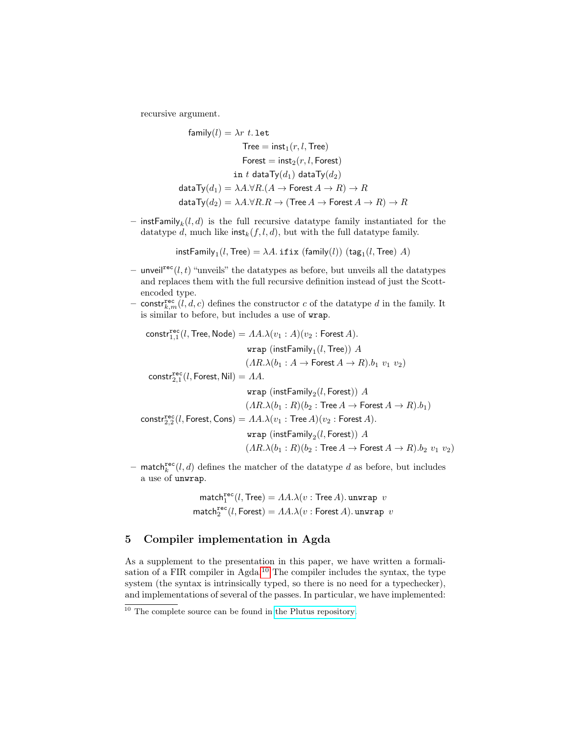recursive argument.

$$
\begin{aligned}\n\text{family}(l) &= \lambda r \ t. \ \text{let} \\
& \text{Tree} &= \text{inst}_1(r, l, \text{Tree}) \\
& \text{Forest} &= \text{inst}_2(r, l, \text{Forest}) \\
& \text{in } t \ \text{dataTy}(d_1) \ \text{dataTy}(d_2) \\
\text{dataTy}(d_1) &= \lambda A. \forall R. (A \rightarrow \text{Forest } A \rightarrow R) \rightarrow R \\
\text{dataTy}(d_2) &= \lambda A. \forall R. R \rightarrow (\text{Tree } A \rightarrow \text{Forest } A \rightarrow R) \rightarrow R\n\end{aligned}
$$

- instFamily $_k(l, d)$  is the full recursive datatype family instantiated for the datatype d, much like  $\text{inst}_k(f, l, d)$ , but with the full datatype family.

instFamily<sub>1</sub>(*l*, Tree) = 
$$
\lambda A
$$
. ifix (family(*l*)) (tag<sub>1</sub>(*l*, Tree) *A*)

- unveil<sup>rec</sup>(l, t) "unveils" the datatypes as before, but unveils all the datatypes and replaces them with the full recursive definition instead of just the Scottencoded type.
- construe  $(k, d, c)$  defines the constructor c of the datatype d in the family. It is similar to before, but includes a use of wrap.

 $\text{constr}_{1,1}^{\text{rec}}(l,\text{Tree},\text{Node}) = AA.\lambda(v_1:A)(v_2:\text{Forest }A).$ wrap  $(\mathsf{instFamily}_{1}(l,\mathsf{Tree}))$   $A$  $(AR.\lambda(b_1 : A \rightarrow \text{Forest } A \rightarrow R).b_1 v_1 v_2)$  $\text{constr}_{2,1}^{\text{rec}}(l, \text{Forest}, \text{Nil}) = AA.$ wrap  $(\mathsf{instFamily}_2(l,\mathsf{Forest}))$   $A$  $(AR.\lambda(b_1:R)(b_2:Tree A \rightarrow Forest A \rightarrow R).b_1)$  $\text{constr}_{2,2}^{\text{rec}}(l, \text{Forest}, \text{Cons}) = AA.\lambda(v_1 : \text{Tree }A)(v_2 : \text{Forest }A).$ wrap  $(\mathsf{instFamily}_2(l,\mathsf{Forest}))$   $A$  $(AR.\lambda(b_1:R)(b_2:Tree A \rightarrow Forest A \rightarrow R).b_2 v_1 v_2)$ 

– match<sup>rec</sup> $(l, d)$  defines the matcher of the datatype d as before, but includes a use of unwrap.

$$
\begin{aligned}\n\text{match}_1^{\text{rec}}(l, \text{Tree}) &= A A. \lambda(v : \text{Tree } A). \text{unwrap } v \\
\text{match}_2^{\text{rec}}(l, \text{Forest}) &= A A. \lambda(v : \text{Forest } A). \text{unwrap } v\n\end{aligned}
$$

### <span id="page-24-0"></span>5 Compiler implementation in Agda

As a supplement to the presentation in this paper, we have written a formalisation of a FIR compiler in Agda.[10](#page-24-1) The compiler includes the syntax, the type system (the syntax is intrinsically typed, so there is no need for a typechecker), and implementations of several of the passes. In particular, we have implemented:

<span id="page-24-1"></span> $\frac{10}{10}$  The complete source can be found in [the Plutus repository.](https://github.com/input-output-hk/plutus/tree/3008f78ed7f75cdd98da7fb06f06345fc52c2e31/papers/unraveling-recursion)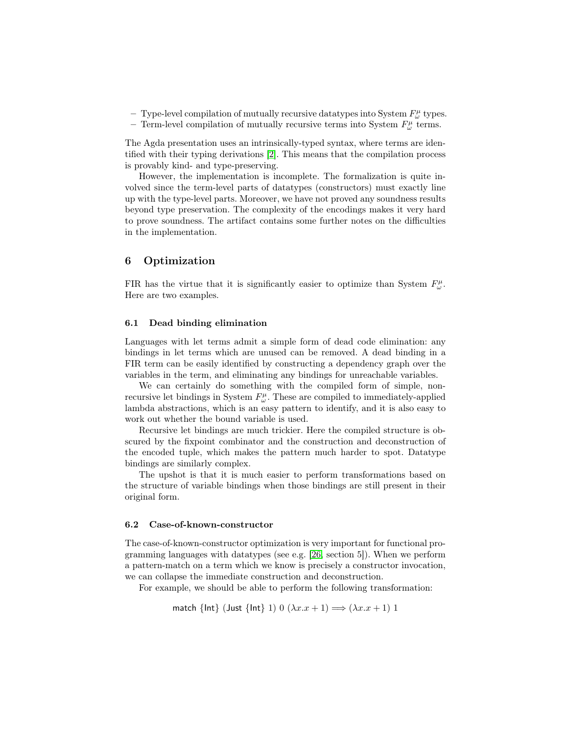- Type-level compilation of mutually recursive data<br>types into System  $F^\mu_\omega$  types.
- Term-level compilation of mutually recursive terms into System  $F^{\mu}_{\omega}$  terms.

The Agda presentation uses an intrinsically-typed syntax, where terms are identified with their typing derivations [\[2\]](#page-28-11). This means that the compilation process is provably kind- and type-preserving.

However, the implementation is incomplete. The formalization is quite involved since the term-level parts of datatypes (constructors) must exactly line up with the type-level parts. Moreover, we have not proved any soundness results beyond type preservation. The complexity of the encodings makes it very hard to prove soundness. The artifact contains some further notes on the difficulties in the implementation.

### 6 Optimization

FIR has the virtue that it is significantly easier to optimize than System  $F^{\mu}_{\omega}$ . Here are two examples.

#### 6.1 Dead binding elimination

Languages with let terms admit a simple form of dead code elimination: any bindings in let terms which are unused can be removed. A dead binding in a FIR term can be easily identified by constructing a dependency graph over the variables in the term, and eliminating any bindings for unreachable variables.

We can certainly do something with the compiled form of simple, nonrecursive let bindings in System  $F^{\mu}_{\omega}$ . These are compiled to immediately-applied lambda abstractions, which is an easy pattern to identify, and it is also easy to work out whether the bound variable is used.

Recursive let bindings are much trickier. Here the compiled structure is obscured by the fixpoint combinator and the construction and deconstruction of the encoded tuple, which makes the pattern much harder to spot. Datatype bindings are similarly complex.

The upshot is that it is much easier to perform transformations based on the structure of variable bindings when those bindings are still present in their original form.

#### 6.2 Case-of-known-constructor

The case-of-known-constructor optimization is very important for functional programming languages with datatypes (see e.g. [\[26,](#page-29-0) section 5]). When we perform a pattern-match on a term which we know is precisely a constructor invocation, we can collapse the immediate construction and deconstruction.

For example, we should be able to perform the following transformation:

match {Int} (Just {Int} 1) 0  $(\lambda x.x + 1) \Longrightarrow (\lambda x.x + 1) 1$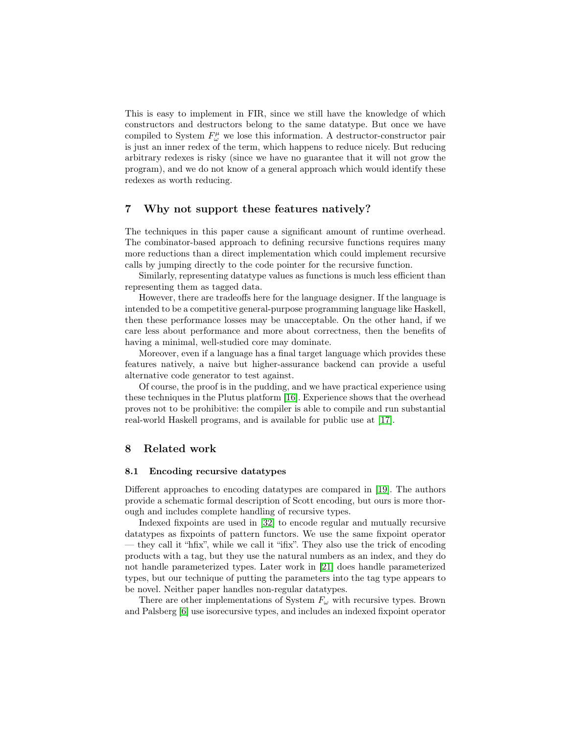This is easy to implement in FIR, since we still have the knowledge of which constructors and destructors belong to the same datatype. But once we have compiled to System  $F^{\mu}_{\omega}$  we lose this information. A destructor-constructor pair is just an inner redex of the term, which happens to reduce nicely. But reducing arbitrary redexes is risky (since we have no guarantee that it will not grow the program), and we do not know of a general approach which would identify these redexes as worth reducing.

## 7 Why not support these features natively?

The techniques in this paper cause a significant amount of runtime overhead. The combinator-based approach to defining recursive functions requires many more reductions than a direct implementation which could implement recursive calls by jumping directly to the code pointer for the recursive function.

Similarly, representing datatype values as functions is much less efficient than representing them as tagged data.

However, there are tradeoffs here for the language designer. If the language is intended to be a competitive general-purpose programming language like Haskell, then these performance losses may be unacceptable. On the other hand, if we care less about performance and more about correctness, then the benefits of having a minimal, well-studied core may dominate.

Moreover, even if a language has a final target language which provides these features natively, a naive but higher-assurance backend can provide a useful alternative code generator to test against.

Of course, the proof is in the pudding, and we have practical experience using these techniques in the Plutus platform [\[16\]](#page-29-4). Experience shows that the overhead proves not to be prohibitive: the compiler is able to compile and run substantial real-world Haskell programs, and is available for public use at [\[17\]](#page-29-5).

### 8 Related work

#### 8.1 Encoding recursive datatypes

Different approaches to encoding datatypes are compared in [\[19\]](#page-29-9). The authors provide a schematic formal description of Scott encoding, but ours is more thorough and includes complete handling of recursive types.

Indexed fixpoints are used in [\[32\]](#page-30-0) to encode regular and mutually recursive datatypes as fixpoints of pattern functors. We use the same fixpoint operator — they call it "hfix", while we call it "ifix". They also use the trick of encoding products with a tag, but they use the natural numbers as an index, and they do not handle parameterized types. Later work in [\[21\]](#page-29-7) does handle parameterized types, but our technique of putting the parameters into the tag type appears to be novel. Neither paper handles non-regular datatypes.

There are other implementations of System  $F_{\omega}$  with recursive types. Brown and Palsberg [\[6\]](#page-28-12) use isorecursive types, and includes an indexed fixpoint operator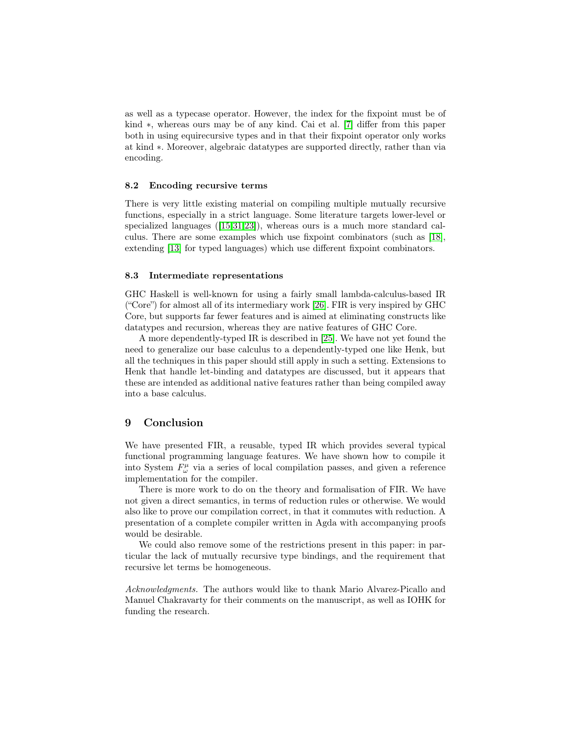as well as a typecase operator. However, the index for the fixpoint must be of kind ∗, whereas ours may be of any kind. Cai et al. [\[7\]](#page-28-4) differ from this paper both in using equirecursive types and in that their fixpoint operator only works at kind ∗. Moreover, algebraic datatypes are supported directly, rather than via encoding.

#### 8.2 Encoding recursive terms

There is very little existing material on compiling multiple mutually recursive functions, especially in a strict language. Some literature targets lower-level or specialized languages ([\[15](#page-28-13)[,31,](#page-29-13)[23\]](#page-29-14)), whereas ours is a much more standard calculus. There are some examples which use fixpoint combinators (such as [\[18\]](#page-29-15), extending [\[13\]](#page-28-14) for typed languages) which use different fixpoint combinators.

#### 8.3 Intermediate representations

GHC Haskell is well-known for using a fairly small lambda-calculus-based IR ("Core") for almost all of its intermediary work [\[26\]](#page-29-0). FIR is very inspired by GHC Core, but supports far fewer features and is aimed at eliminating constructs like datatypes and recursion, whereas they are native features of GHC Core.

A more dependently-typed IR is described in [\[25\]](#page-29-1). We have not yet found the need to generalize our base calculus to a dependently-typed one like Henk, but all the techniques in this paper should still apply in such a setting. Extensions to Henk that handle let-binding and datatypes are discussed, but it appears that these are intended as additional native features rather than being compiled away into a base calculus.

### 9 Conclusion

We have presented FIR, a reusable, typed IR which provides several typical functional programming language features. We have shown how to compile it into System  $F^{\mu}_{\omega}$  via a series of local compilation passes, and given a reference implementation for the compiler.

There is more work to do on the theory and formalisation of FIR. We have not given a direct semantics, in terms of reduction rules or otherwise. We would also like to prove our compilation correct, in that it commutes with reduction. A presentation of a complete compiler written in Agda with accompanying proofs would be desirable.

We could also remove some of the restrictions present in this paper: in particular the lack of mutually recursive type bindings, and the requirement that recursive let terms be homogeneous.

Acknowledgments. The authors would like to thank Mario Alvarez-Picallo and Manuel Chakravarty for their comments on the manuscript, as well as IOHK for funding the research.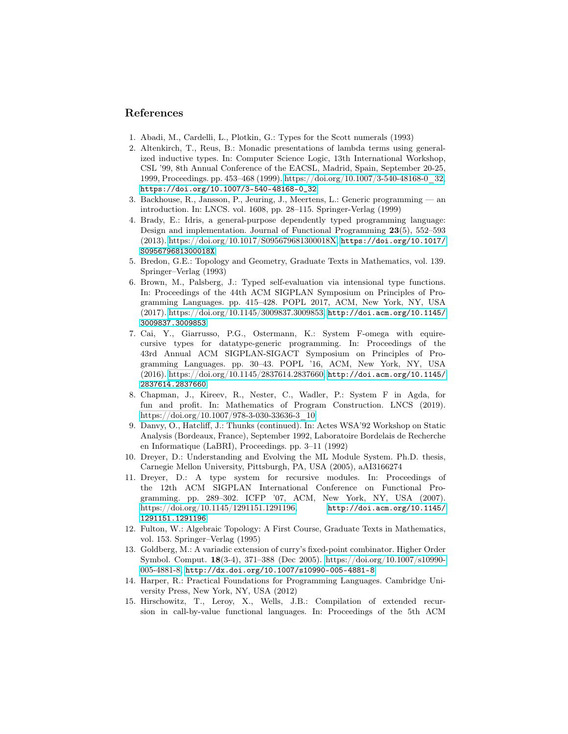### References

- <span id="page-28-2"></span>1. Abadi, M., Cardelli, L., Plotkin, G.: Types for the Scott numerals (1993)
- <span id="page-28-11"></span>2. Altenkirch, T., Reus, B.: Monadic presentations of lambda terms using generalized inductive types. In: Computer Science Logic, 13th International Workshop, CSL '99, 8th Annual Conference of the EACSL, Madrid, Spain, September 20-25, 1999, Proceedings. pp. 453–468 (1999). [https://doi.org/10.1007/3-540-48168-0\\_32,](https://doi.org/10.1007/3-540-48168-0_32) [https://doi.org/10.1007/3-540-48168-0\\_32](https://doi.org/10.1007/3-540-48168-0_32)
- <span id="page-28-10"></span>3. Backhouse, R., Jansson, P., Jeuring, J., Meertens, L.: Generic programming — an introduction. In: LNCS. vol. 1608, pp. 28–115. Springer-Verlag (1999)
- <span id="page-28-0"></span>4. Brady, E.: Idris, a general-purpose dependently typed programming language: Design and implementation. Journal of Functional Programming 23(5), 552–593 (2013). [https://doi.org/10.1017/S095679681300018X,](https://doi.org/10.1017/S095679681300018X) [https://doi.org/10.1017/](https://doi.org/10.1017/S095679681300018X) [S095679681300018X](https://doi.org/10.1017/S095679681300018X)
- <span id="page-28-7"></span>5. Bredon, G.E.: Topology and Geometry, Graduate Texts in Mathematics, vol. 139. Springer–Verlag (1993)
- <span id="page-28-12"></span>6. Brown, M., Palsberg, J.: Typed self-evaluation via intensional type functions. In: Proceedings of the 44th ACM SIGPLAN Symposium on Principles of Programming Languages. pp. 415–428. POPL 2017, ACM, New York, NY, USA (2017). [https://doi.org/10.1145/3009837.3009853,](https://doi.org/10.1145/3009837.3009853) [http://doi.acm.org/10.1145/](http://doi.acm.org/10.1145/3009837.3009853) [3009837.3009853](http://doi.acm.org/10.1145/3009837.3009853)
- <span id="page-28-4"></span>7. Cai, Y., Giarrusso, P.G., Ostermann, K.: System F-omega with equirecursive types for datatype-generic programming. In: Proceedings of the 43rd Annual ACM SIGPLAN-SIGACT Symposium on Principles of Programming Languages. pp. 30–43. POPL '16, ACM, New York, NY, USA (2016). [https://doi.org/10.1145/2837614.2837660,](https://doi.org/10.1145/2837614.2837660) [http://doi.acm.org/10.1145/](http://doi.acm.org/10.1145/2837614.2837660) [2837614.2837660](http://doi.acm.org/10.1145/2837614.2837660)
- <span id="page-28-1"></span>8. Chapman, J., Kireev, R., Nester, C., Wadler, P.: System F in Agda, for fun and profit. In: Mathematics of Program Construction. LNCS (2019). [https://doi.org/10.1007/978-3-030-33636-3\\_10](https://doi.org/10.1007/978-3-030-33636-3_10)
- <span id="page-28-9"></span>9. Danvy, O., Hatcliff, J.: Thunks (continued). In: Actes WSA'92 Workshop on Static Analysis (Bordeaux, France), September 1992, Laboratoire Bordelais de Recherche en Informatique (LaBRI), Proceedings. pp. 3–11 (1992)
- <span id="page-28-5"></span>10. Dreyer, D.: Understanding and Evolving the ML Module System. Ph.D. thesis, Carnegie Mellon University, Pittsburgh, PA, USA (2005), aAI3166274
- <span id="page-28-3"></span>11. Dreyer, D.: A type system for recursive modules. In: Proceedings of the 12th ACM SIGPLAN International Conference on Functional Programming. pp. 289–302. ICFP '07, ACM, New York, NY, USA (2007). [https://doi.org/10.1145/1291151.1291196,](https://doi.org/10.1145/1291151.1291196) [http://doi.acm.org/10.1145/](http://doi.acm.org/10.1145/1291151.1291196) [1291151.1291196](http://doi.acm.org/10.1145/1291151.1291196)
- <span id="page-28-6"></span>12. Fulton, W.: Algebraic Topology: A First Course, Graduate Texts in Mathematics, vol. 153. Springer–Verlag (1995)
- <span id="page-28-14"></span>13. Goldberg, M.: A variadic extension of curry's fixed-point combinator. Higher Order Symbol. Comput. 18(3-4), 371–388 (Dec 2005). [https://doi.org/10.1007/s10990-](https://doi.org/10.1007/s10990-005-4881-8) [005-4881-8,](https://doi.org/10.1007/s10990-005-4881-8) <http://dx.doi.org/10.1007/s10990-005-4881-8>
- <span id="page-28-8"></span>14. Harper, R.: Practical Foundations for Programming Languages. Cambridge University Press, New York, NY, USA (2012)
- <span id="page-28-13"></span>15. Hirschowitz, T., Leroy, X., Wells, J.B.: Compilation of extended recursion in call-by-value functional languages. In: Proceedings of the 5th ACM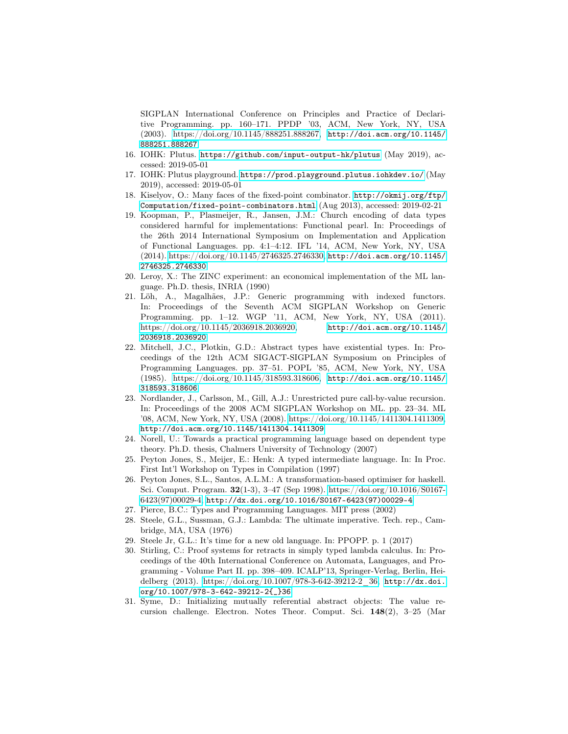SIGPLAN International Conference on Principles and Practice of Declaritive Programming. pp. 160–171. PPDP '03, ACM, New York, NY, USA (2003). [https://doi.org/10.1145/888251.888267,](https://doi.org/10.1145/888251.888267) [http://doi.acm.org/10.1145/](http://doi.acm.org/10.1145/888251.888267) [888251.888267](http://doi.acm.org/10.1145/888251.888267)

- <span id="page-29-4"></span>16. IOHK: Plutus. <https://github.com/input-output-hk/plutus> (May 2019), accessed: 2019-05-01
- <span id="page-29-5"></span>17. IOHK: Plutus playground. <https://prod.playground.plutus.iohkdev.io/> (May 2019), accessed: 2019-05-01
- <span id="page-29-15"></span>18. Kiselyov, O.: Many faces of the fixed-point combinator. [http://okmij.org/ftp/](http://okmij.org/ftp/Computation/fixed-point-combinators.html) [Computation/fixed-point-combinators.html](http://okmij.org/ftp/Computation/fixed-point-combinators.html) (Aug 2013), accessed: 2019-02-21
- <span id="page-29-9"></span>19. Koopman, P., Plasmeijer, R., Jansen, J.M.: Church encoding of data types considered harmful for implementations: Functional pearl. In: Proceedings of the 26th 2014 International Symposium on Implementation and Application of Functional Languages. pp. 4:1–4:12. IFL '14, ACM, New York, NY, USA (2014). [https://doi.org/10.1145/2746325.2746330,](https://doi.org/10.1145/2746325.2746330) [http://doi.acm.org/10.1145/](http://doi.acm.org/10.1145/2746325.2746330) [2746325.2746330](http://doi.acm.org/10.1145/2746325.2746330)
- <span id="page-29-2"></span>20. Leroy, X.: The ZINC experiment: an economical implementation of the ML language. Ph.D. thesis, INRIA (1990)
- <span id="page-29-7"></span>21. Löh, A., Magalhães, J.P.: Generic programming with indexed functors. In: Proceedings of the Seventh ACM SIGPLAN Workshop on Generic Programming. pp. 1–12. WGP '11, ACM, New York, NY, USA (2011). [https://doi.org/10.1145/2036918.2036920,](https://doi.org/10.1145/2036918.2036920) [http://doi.acm.org/10.1145/](http://doi.acm.org/10.1145/2036918.2036920) [2036918.2036920](http://doi.acm.org/10.1145/2036918.2036920)
- <span id="page-29-12"></span>22. Mitchell, J.C., Plotkin, G.D.: Abstract types have existential types. In: Proceedings of the 12th ACM SIGACT-SIGPLAN Symposium on Principles of Programming Languages. pp. 37–51. POPL '85, ACM, New York, NY, USA (1985). [https://doi.org/10.1145/318593.318606,](https://doi.org/10.1145/318593.318606) [http://doi.acm.org/10.1145/](http://doi.acm.org/10.1145/318593.318606) [318593.318606](http://doi.acm.org/10.1145/318593.318606)
- <span id="page-29-14"></span>23. Nordlander, J., Carlsson, M., Gill, A.J.: Unrestricted pure call-by-value recursion. In: Proceedings of the 2008 ACM SIGPLAN Workshop on ML. pp. 23–34. ML '08, ACM, New York, NY, USA (2008). [https://doi.org/10.1145/1411304.1411309,](https://doi.org/10.1145/1411304.1411309) <http://doi.acm.org/10.1145/1411304.1411309>
- <span id="page-29-6"></span>24. Norell, U.: Towards a practical programming language based on dependent type theory. Ph.D. thesis, Chalmers University of Technology (2007)
- <span id="page-29-1"></span>25. Peyton Jones, S., Meijer, E.: Henk: A typed intermediate language. In: In Proc. First Int'l Workshop on Types in Compilation (1997)
- <span id="page-29-0"></span>26. Peyton Jones, S.L., Santos, A.L.M.: A transformation-based optimiser for haskell. Sci. Comput. Program. 32(1-3), 3–47 (Sep 1998). [https://doi.org/10.1016/S0167-](https://doi.org/10.1016/S0167-6423(97)00029-4) [6423\(97\)00029-4,](https://doi.org/10.1016/S0167-6423(97)00029-4) [http://dx.doi.org/10.1016/S0167-6423\(97\)00029-4](http://dx.doi.org/10.1016/S0167-6423(97)00029-4)
- <span id="page-29-3"></span>27. Pierce, B.C.: Types and Programming Languages. MIT press (2002)
- <span id="page-29-11"></span>28. Steele, G.L., Sussman, G.J.: Lambda: The ultimate imperative. Tech. rep., Cambridge, MA, USA (1976)
- <span id="page-29-8"></span>29. Steele Jr, G.L.: It's time for a new old language. In: PPOPP. p. 1 (2017)
- <span id="page-29-10"></span>30. Stirling, C.: Proof systems for retracts in simply typed lambda calculus. In: Proceedings of the 40th International Conference on Automata, Languages, and Programming - Volume Part II. pp. 398–409. ICALP'13, Springer-Verlag, Berlin, Heidelberg (2013). [https://doi.org/10.1007/978-3-642-39212-2\\_36,](https://doi.org/10.1007/978-3-642-39212-2{_}36) [http://dx.doi.](http://dx.doi.org/10.1007/978-3-642-39212-2{_}36) [org/10.1007/978-3-642-39212-2{\\_}36](http://dx.doi.org/10.1007/978-3-642-39212-2{_}36)
- <span id="page-29-13"></span>31. Syme, D.: Initializing mutually referential abstract objects: The value recursion challenge. Electron. Notes Theor. Comput. Sci. 148(2), 3–25 (Mar